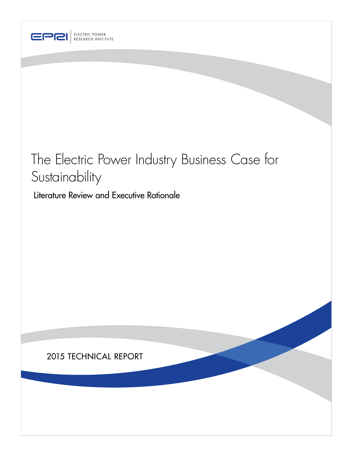

# The Electric Power Industry Business Case for Sustainability

Literature Review and Executive Rationale

### 2015 TECHNICAL REPORT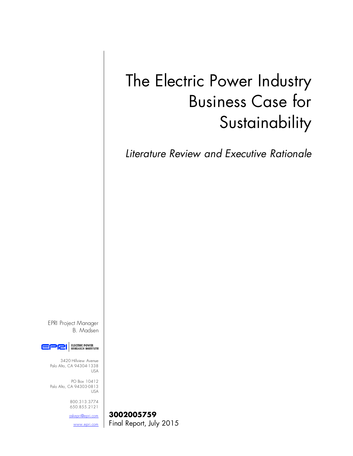# The Electric Power Industry Business Case for **Sustainability**

*Literature Review and Executive Rationale*

EPRI Project Manager B. Madsen



3420 Hillview Avenue Palo Alto, CA 94304-1338 USA

PO Box 10412 Palo Alto, CA 94303-0813 USA

> 800.313.3774 650.855.2121

[askepri@epri.com](mailto:askepri@epri.com) **3002005759** [www.epri.com](http://www.epri.com/) | Final Report, July 2015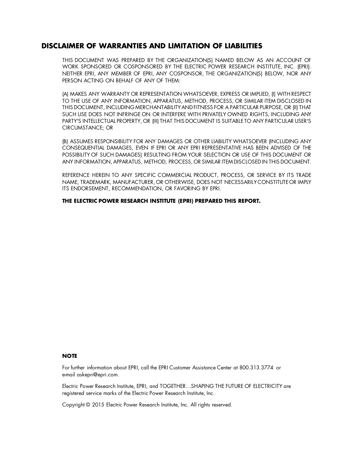#### **DISCLAIMER OF WARRANTIES AND LIMITATION OF LIABILITIES**

THIS DOCUMENT WAS PREPARED BY THE ORGANIZATION(S) NAMED BELOW AS AN ACCOUNT OF WORK SPONSORED OR COSPONSORED BY THE ELECTRIC POWER RESEARCH INSTITUTE, INC. (EPRI). NEITHER EPRI, ANY MEMBER OF EPRI, ANY COSPONSOR, THE ORGANIZATION(S) BELOW, NOR ANY PERSON ACTING ON BEHALF OF ANY OF THEM:

(A) MAKES ANY WARRANTY OR REPRESENTATION WHATSOEVER, EXPRESS OR IMPLIED, (I) WITH RESPECT TO THE USE OF ANY INFORMATION, APPARATUS, METHOD, PROCESS, OR SIMILAR ITEM DISCLOSED IN THIS DOCUMENT, INCLUDING MERCHANTABILITYAND FITNESS FOR A PARTICULAR PURPOSE, OR (II) THAT SUCH USE DOES NOT INFRINGE ON OR INTERFERE WITH PRIVATELY OWNED RIGHTS, INCLUDING ANY PARTY'S INTELLECTUAL PROPERTY, OR (III) THAT THIS DOCUMENT IS SUITABLE TO ANY PARTICULAR USER'S CIRCUMSTANCE; OR

(B) ASSUMES RESPONSIBILITY FOR ANY DAMAGES OR OTHER LIABILITY WHATSOEVER (INCLUDING ANY CONSEQUENTIAL DAMAGES, EVEN IF EPRI OR ANY EPRI REPRESENTATIVE HAS BEEN ADVISED OF THE POSSIBILITY OF SUCH DAMAGES) RESULTING FROM YOUR SELECTION OR USE OF THIS DOCUMENT OR ANY INFORMATION, APPARATUS, METHOD, PROCESS, OR SIMILAR ITEM DISCLOSED IN THIS DOCUMENT.

REFERENCE HEREIN TO ANY SPECIFIC COMMERCIAL PRODUCT, PROCESS, OR SERVICE BY ITS TRADE NAME, TRADEMARK, MANUFACTURER, OR OTHERWISE, DOES NOT NECESSARILY CONSTITUTE OR IMPLY ITS ENDORSEMENT, RECOMMENDATION, OR FAVORING BY EPRI.

**THE ELECTRIC POWER RESEARCH INSTITUTE (EPRI) PREPARED THIS REPORT.**

#### **NOTE**

For further information about EPRI, call the EPRI Customer Assistance Center at 800.313.3774 or e-mail askepri@epri.com.

Electric Power Research Institute, EPRI, and TOGETHER…SHAPING THE FUTURE OF ELECTRICITY are registered service marks of the Electric Power Research Institute, Inc.

Copyright © 2015 Electric Power Research Institute, Inc. All rights reserved.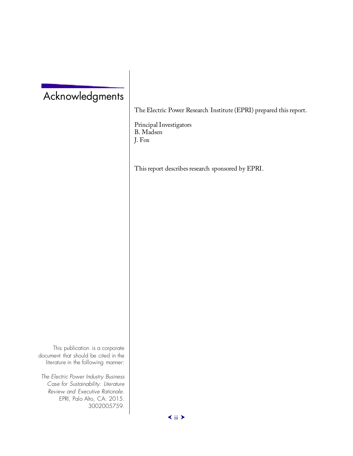### Acknowledgments

The Electric Power Research Institute (EPRI) prepared this report.

Principal Investigators B. Madsen J. Fox

This report describes research sponsored by EPRI.

This publication is a corporate document that should be cited in the literature in the following manner:

*The Electric Power Industry Business Case for Sustainability: Literature Review and Executive Rationale.* EPRI, Palo Alto, CA: 2015. 3002005759.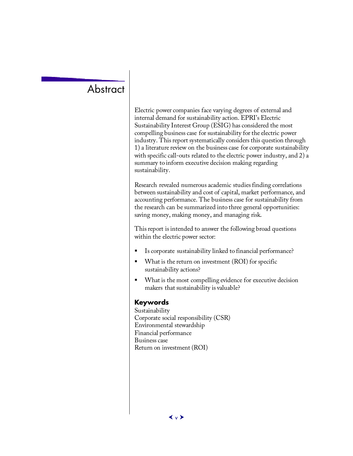### **Abstract**

Electric power companies face varying degrees of external and internal demand for sustainability action. EPRI's Electric Sustainability Interest Group (ESIG) has considered the most compelling business case for sustainability for the electric power industry. This report systematically considers this question through 1) a literature review on the business case for corporate sustainability with specific call-outs related to the electric power industry, and 2) a summary to inform executive decision making regarding sustainability.

Research revealed numerous academic studies finding correlations between sustainability and cost of capital, market performance, and accounting performance. The business case for sustainability from the research can be summarized into three general opportunities: saving money, making money, and managing risk.

This report is intended to answer the following broad questions within the electric power sector:

- Is corporate sustainability linked to financial performance?
- What is the return on investment (ROI) for specific sustainability actions?
- What is the most compelling evidence for executive decision makers that sustainability is valuable?

#### **Keywords**

Sustainability Corporate social responsibility (CSR) Environmental stewardship Financial performance Business case Return on investment (ROI)

 $\langle v \rangle$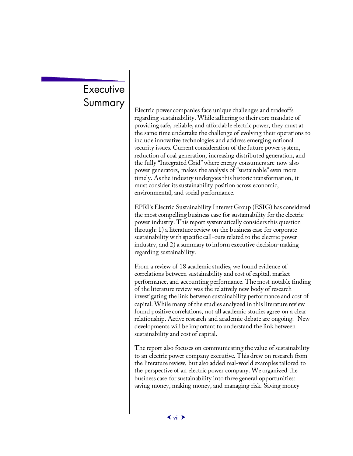# **Executive**

Summary  $\sum_{\text{Electric power companies face unique challenges and tradeoffs}}$ regarding sustainability. While adhering to their core mandate of providing safe, reliable, and affordable electric power, they must at the same time undertake the challenge of evolving their operations to include innovative technologies and address emerging national security issues. Current consideration of the future power system, reduction of coal generation, increasing distributed generation, and the fully "Integrated Grid" where energy consumers are now also power generators, makes the analysis of "sustainable" even more timely. As the industry undergoes this historic transformation, it must consider its sustainability position across economic, environmental, and social performance.

> EPRI's Electric Sustainability Interest Group (ESIG) has considered the most compelling business case for sustainability for the electric power industry. This report systematically considers this question through: 1) a literature review on the business case for corporate sustainability with specific call-outs related to the electric power industry, and 2) a summary to inform executive decision-making regarding sustainability.

> From a review of 18 academic studies, we found evidence of correlations between sustainability and cost of capital, market performance, and accounting performance. The most notable finding of the literature review was the relatively new body of research investigating the link between sustainability performance and cost of capital. While many of the studies analyzed in this literature review found positive correlations, not all academic studies agree on a clear relationship. Active research and academic debate are ongoing. New developments will be important to understand the link between sustainability and cost of capital.

> The report also focuses on communicating the value of sustainability to an electric power company executive. This drew on research from the literature review, but also added real-world examples tailored to the perspective of an electric power company. We organized the business case for sustainability into three general opportunities: saving money, making money, and managing risk. Saving money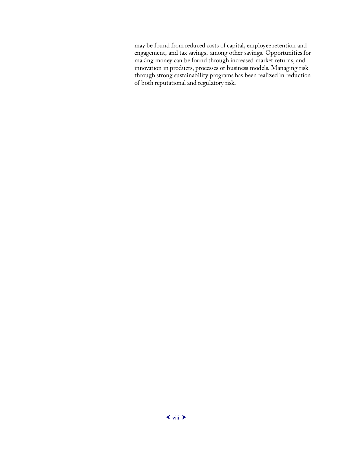may be found from reduced costs of capital, employee retention and engagement, and tax savings, among other savings. Opportunities for making money can be found through increased market returns, and innovation in products, processes or business models. Managing risk through strong sustainability programs has been realized in reduction of both reputational and regulatory risk.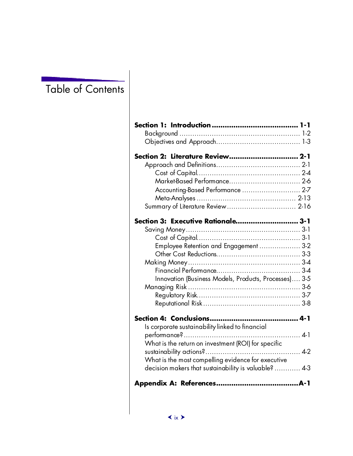### Table of Contents

| Section 2: Literature Review 2-1                      |  |
|-------------------------------------------------------|--|
|                                                       |  |
|                                                       |  |
|                                                       |  |
| Accounting-Based Performance  2-7                     |  |
|                                                       |  |
|                                                       |  |
|                                                       |  |
| Section 3: Executive Rationale 3-1                    |  |
|                                                       |  |
|                                                       |  |
| Employee Retention and Engagement  3-2                |  |
|                                                       |  |
|                                                       |  |
|                                                       |  |
| Innovation (Business Models, Products, Processes) 3-5 |  |
|                                                       |  |
|                                                       |  |
|                                                       |  |
|                                                       |  |
| Is corporate sustainability linked to financial       |  |
|                                                       |  |
| What is the return on investment (ROI) for specific   |  |
|                                                       |  |
| What is the most compelling evidence for executive    |  |
| decision makers that sustainability is valuable?  4-3 |  |
|                                                       |  |
|                                                       |  |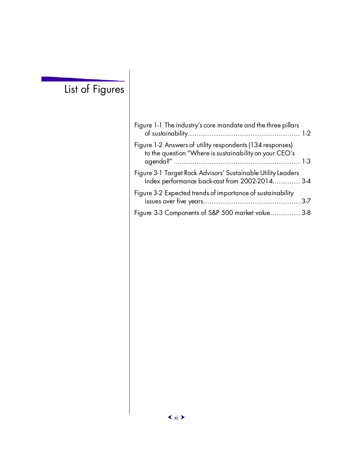## List of Figures

| Figure 1-1 The industry's core mandate and the three pillars                                                        |
|---------------------------------------------------------------------------------------------------------------------|
| Figure 1-2 Answers of utility respondents (134 responses)<br>to the question "Where is sustainability on your CEO's |
| Figure 3-1 Target Rock Advisors' Sustainable Utility Leaders<br>Index performance back-cast from 2002-2014 3-4      |
| Figure 3-2 Expected trends of importance of sustainability                                                          |
| Figure 3-3 Components of S&P 500 market value 3-8                                                                   |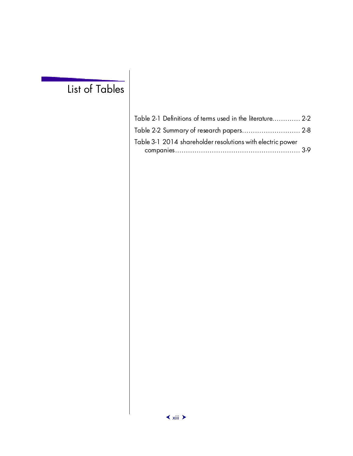### List of Tables

| Table 2-1 Definitions of terms used in the literature 2-2  |  |
|------------------------------------------------------------|--|
| Table 2-2 Summary of research papers 2-8                   |  |
| Table 3-1 2014 shareholder resolutions with electric power |  |
|                                                            |  |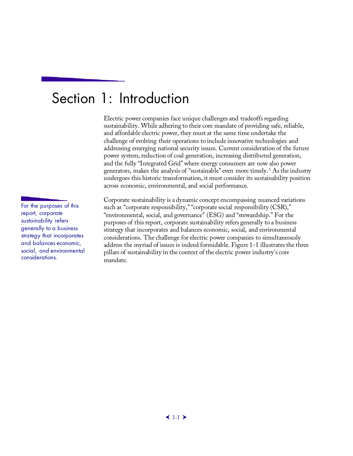## <span id="page-16-0"></span>Section 1: Introduction

Electric power companies face unique challenges and tradeoffs regarding sustainability. While adhering to their core mandate of providing safe, reliable, and affordable electric power, they must at the same time undertake the challenge of evolving their operations to include innovative technologies and addressing emerging national security issues. Current consideration of the future power system, reduction of coal generation, increasing distributed generation, and the fully "Integrated Grid" where energy consumers are now also power generators, makes the analysis of "sustainable" even more timely. [1](#page-53-0) As the industry undergoes this historic transformation, it must consider its sustainability position across economic, environmental, and social performance.

Corporate sustainability is a dynamic concept encompassing nuanced variations such as "corporate responsibility," "corporate social responsibility (CSR)," "environmental, social, and governance" (ESG) and "stewardship." For the purposes of this report, corporate sustainability refers generally to a business strategy that incorporates and balances economic, social, and environmental considerations. The challenge for electric power companies to simultaneously address the myriad of issues is indeed formidable. Figure 1-1 illustrates the three pillars of sustainability in the context of the electric power industry's core mandate.

For the purposes of this report, corporate sustainability refers generally to a business strategy that incorporates and balances economic, social, and environmental considerations.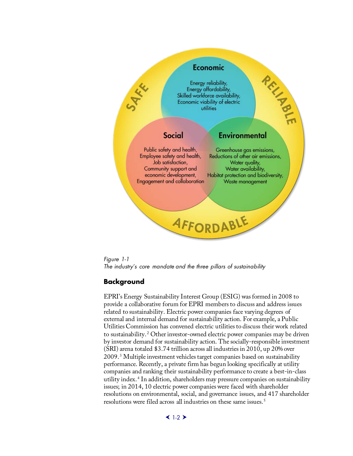

<span id="page-17-1"></span>*Figure 1-1 The industry's core mandate and the three pillars of sustainability*

#### <span id="page-17-0"></span>**Background**

EPRI's Energy Sustainability Interest Group (ESIG) was formed in 2008 to provide a collaborative forum for EPRI members to discuss and address issues related to sustainability. Electric power companies face varying degrees of external and internal demand for sustainability action. For example, a Public Utilities Commission has convened electric utilities to discuss their work related to sustainability. [2](#page-53-1) Other investor-owned electric power companies may be driven by investor demand for sustainability action. The socially-responsible investment (SRI) arena totaled \$3.74 trillion across all industries in 2010, up 20% over 2009. [3](#page-53-2) Multiple investment vehicles target companies based on sustainability performance. Recently, a private firm has begun looking specifically at utility companies and ranking their sustainability performance to create a best-in-class utility index. [4](#page-53-3) In addition, shareholders may pressure companies on sustainability issues; in 2014, 10 electric power companies were faced with shareholder resolutions on environmental, social, and governance issues, and 417 shareholder resolutions were filed across all industries on these same issues. [5](#page-53-4)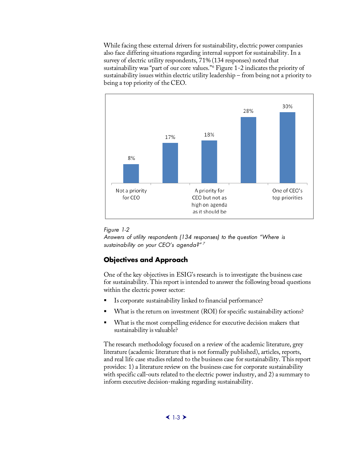While facing these external drivers for sustainability, electric power companies also face differing situations regarding internal support for sustainability. In a survey of electric utility respondents, 71% (134 responses) noted that sustainability was "part of our core values."[6](#page-54-0) Figure 1-2 indicates the priority of sustainability issues within electric utility leadership – from being not a priority to being a top priority of the CEO.



#### <span id="page-18-1"></span>*Figure 1-2*

*Answers of utility respondents (134 responses) to the question "Where is sustainability on your CEO's agenda?" [7](#page-54-1)*

#### <span id="page-18-0"></span>**Objectives and Approach**

One of the key objectives in ESIG's research is to investigate the business case for sustainability. This report is intended to answer the following broad questions within the electric power sector:

- Is corporate sustainability linked to financial performance?
- What is the return on investment (ROI) for specific sustainability actions?
- What is the most compelling evidence for executive decision makers that sustainability is valuable?

The research methodology focused on a review of the academic literature, grey literature (academic literature that is not formally published), articles, reports, and real life case studies related to the business case for sustainability. This report provides: 1) a literature review on the business case for corporate sustainability with specific call-outs related to the electric power industry, and 2) a summary to inform executive decision-making regarding sustainability.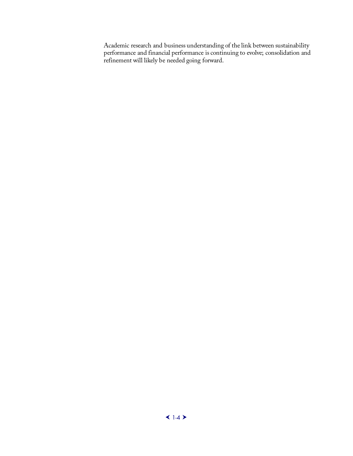Academic research and business understanding of the link between sustainability performance and financial performance is continuing to evolve; consolidation and refinement will likely be needed going forward.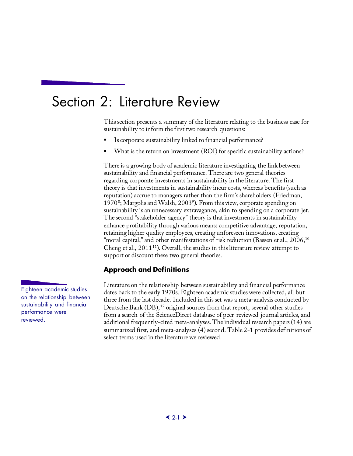### <span id="page-20-0"></span>Section 2: Literature Review

This section presents a summary of the literature relating to the business case for sustainability to inform the first two research questions:

- Is corporate sustainability linked to financial performance?
- What is the return on investment (ROI) for specific sustainability actions?

There is a growing body of academic literature investigating the link between sustainability and financial performance. There are two general theories regarding corporate investments in sustainability in the literature. The first theory is that investments in sustainability incur costs, whereas benefits (such as reputation) accrue to managers rather than the firm's shareholders (Friedman, 1970<sup>[8](#page-55-0)</sup>; Margolis and Walsh, 2003<sup>[9](#page-55-1)</sup>). From this view, corporate spending on sustainability is an unnecessary extravagance, akin to spending on a corporate jet. The second "stakeholder agency" theory is that investments in sustainability enhance profitability through various means: competitive advantage, reputation, retaining higher quality employees, creating unforeseen innovations, creating "moral capital," and other manifestations of risk reduction (Bassen et al.,  $2006$ ,  $10$ ) Cheng et al.,  $2011^{11}$  $2011^{11}$  $2011^{11}$ ). Overall, the studies in this literature review attempt to support or discount these two general theories.

#### **Approach and Definitions**

Literature on the relationship between sustainability and financial performance dates back to the early 1970s. Eighteen academic studies were collected, all but three from the last decade. Included in this set was a meta-analysis conducted by Deutsche Bank (DB), <sup>[12](#page-55-2)</sup> original sources from that report, several other studies from a search of the ScienceDirect database of peer-reviewed journal articles, and additional frequently-cited meta-analyses. The individual research papers (14) are summarized first, and meta-analyses (4) second. Table 2-1 provides definitions of select terms used in the literature we reviewed.

<span id="page-20-1"></span>Eighteen academic studies on the relationship between sustainability and financial performance were reviewed.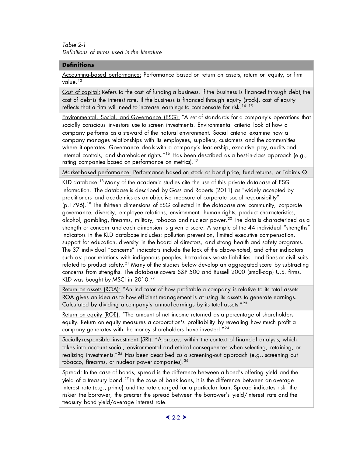<span id="page-21-0"></span>*Table 2-1 Definitions of terms used in the literature* 

#### **Definitions**

Accounting-based performance: Performance based on return on assets, return on equity, or firm value.[13](#page-56-0)

Cost of capital: Refers to the cost of funding a business. If the business is financed through debt, the cost of debt is the interest rate. If the business is financed through equity (stock), cost of equity reflects that a firm will need to increase earnings to compensate for risk.<sup>[14](#page-56-1)</sup> <sup>[15](#page-56-2)</sup>

Environmental, Social, and Governance (ESG): "A set of standards for a company's operations that socially conscious investors use to screen investments. Environmental criteria look at how a company performs as a steward of the natural environment. Social criteria examine how a company manages relationships with its employees, suppliers, customers and the communities where it operates. Governance deals with a company's leadership, executive pay, audits and internal controls, and shareholder rights."<sup>[16](#page-56-3)</sup> Has been described as a best-in-class approach (e.g., rating companies based on performance on metrics).<sup>[17](#page-56-4)</sup>

Market-based performance: Performance based on stock or bond price, fund returns, or Tobin's Q.

KLD database:<sup>[18](#page-56-5)</sup> Many of the academic studies cite the use of this private database of ESG information. The database is described by Goss and Roberts (2011) as "widely accepted by practitioners and academics as an objective measure of corporate social responsibility" (p.1796).[19](#page-56-6) The thirteen dimensions of ESG collected in the database are: community, corporate governance, diversity, employee relations, environment, human rights, product characteristics, alcohol, gambling, firearms, military, tobacco and nuclear power.<sup>[20](#page-56-7)</sup> The data is characterized as a strength or concern and each dimension is given a score. A sample of the 44 individual "strengths" indicators in the KLD database includes: pollution prevention, limited executive compensation, support for education, diversity in the board of directors, and strong health and safety programs. The 37 individual "concerns" indicators include the lack of the above-noted, and other indicators such as: poor relations with indigenous peoples, hazardous waste liabilities, and fines or civil suits related to product safety.<sup>[21](#page-56-8)</sup> Many of the studies below develop an aggregated score by subtracting concerns from strengths. The database covers S&P 500 and Russell 2000 (small-cap) U.S. firms. KLD was bought by MSCI in  $2010.<sup>22</sup>$  $2010.<sup>22</sup>$  $2010.<sup>22</sup>$ 

Return on assets (ROA): "An indicator of how profitable a company is relative to its total assets. ROA gives an idea as to how efficient management is at using its assets to generate earnings. Calculated by dividing a company's annual earnings by its total assets."<sup>[23](#page-56-10)</sup>

Return on equity (ROE): "The amount of net income returned as a percentage of shareholders equity. Return on equity measures a corporation's profitability by revealing how much profit a company generates with the money shareholders have invested."[24](#page-56-11)

Socially-responsible investment (SRI): "A process within the context of financial analysis, which takes into account social, environmental and ethical consequences when selecting, retaining, or realizing investments."<sup>[25](#page-56-12)</sup> Has been described as a screening-out approach (e.g., screening out tobacco, firearms, or nuclear power companies).<sup>[26](#page-56-13)</sup>

Spread: In the case of bonds, spread is the difference between a bond's offering yield and the yield of a treasury bond.<sup>[27](#page-56-14)</sup> In the case of bank loans, it is the difference between an average interest rate (e.g., prime) and the rate charged for a particular loan. Spread indicates risk: the riskier the borrower, the greater the spread between the borrower's yield/interest rate and the treasury bond yield/average interest rate.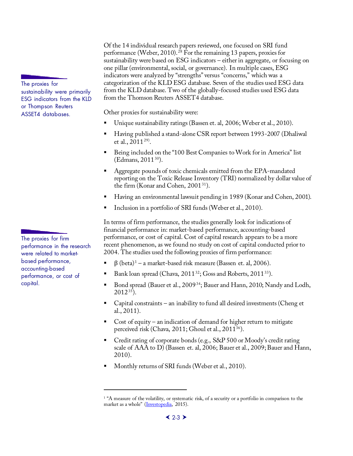The proxies for sustainability were primarily ESG indicators from the KLD or Thompson Reuters ASSET4 databases.

The proxies for firm performance in the research were related to marketbased performance, accounting-based performance, or cost of capital.

I

Of the 14 individual research papers reviewed, one focused on SRI fund performance (Weber, 2010).<sup>[28](#page-57-0)</sup> For the remaining 13 papers, proxies for sustainability were based on ESG indicators – either in aggregate, or focusing on one pillar (environmental, social, or governance). In multiple cases, ESG indicators were analyzed by "strengths" versus "concerns," which was a categorization of the KLD ESG database. Seven of the studies used ESG data from the KLD database. Two of the globally-focused studies used ESG data from the Thomson Reuters ASSET4 database.

Other proxies for sustainability were:

- Unique sustainability ratings (Bassen et. al, 2006; Weber et al., 2010).
- Having published a stand-alone CSR report between 1993-2007 (Dhaliwal et al.,  $2011^{29}$  $2011^{29}$  $2011^{29}$ .
- Being included on the "100 Best Companies to Work for in America" list (Edmans, 2011<sup>[30](#page-57-2)</sup>).
- Aggregate pounds of toxic chemicals emitted from the EPA-mandated reporting on the Toxic Release Inventory (TRI) normalized by dollar value of the firm (Konar and Cohen, 2001<sup>31</sup>).
- Having an environmental lawsuit pending in 1989 (Konar and Cohen, 2001).
- Inclusion in a portfolio of SRI funds (Weber et al., 2010).

In terms of firm performance, the studies generally look for indications of financial performance in: market-based performance, accounting-based performance, or cost of capital. Cost of capital research appears to be a more recent phenomenon, as we found no study on cost of capital conducted prior to 2004. The studies used the following proxies of firm performance:

- $β$  (beta)<sup>[1](#page-22-0)</sup> a market-based risk measure (Bassen et. al, 2006).
- Bank loan spread (Chava, 2011<sup>32</sup>; Goss and Roberts, 2011<sup>33</sup>).
- Bond spread (Bauer et al., 2009[34](#page-57-6); Bauer and Hann, 2010; Nandy and Lodh,  $2012^{35}$  $2012^{35}$  $2012^{35}$ ).
- Capital constraints an inability to fund all desired investments (Cheng et al., 2011).
- Cost of equity an indication of demand for higher return to mitigate perceived risk (Chava, 2011; Ghoul et al., 2011<sup>[36](#page-57-8)</sup>).
- Credit rating of corporate bonds (e.g., S&P 500 or Moody's credit rating scale of AAA to D) (Bassen et. al, 2006; Bauer et al., 2009; Bauer and Hann, 2010).
- Monthly returns of SRI funds (Weber et al., 2010).

<span id="page-22-0"></span><sup>&</sup>lt;sup>1</sup> "A measure of the volatility, or systematic risk, of a security or a portfolio in comparison to the market as a whole" [\(Investopedia,](http://www.investopedia.com/terms/b/beta.asp%23ixzz3aVoTRj8g) 2015).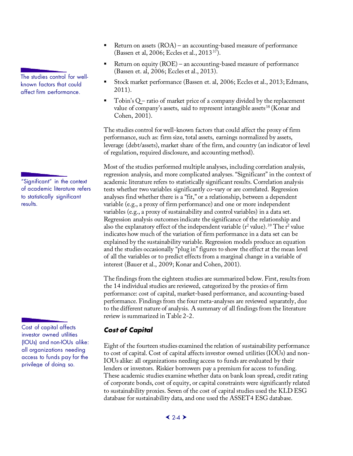The studies control for wellknown factors that could affect firm performance.

"Significant" in the context of academic literature refers to statistically significant results.

<span id="page-23-0"></span>Cost of capital affects investor owned utilities (IOUs) and non-IOUs alike: all organizations needing access to funds pay for the privilege of doing so.

- Return on assets (ROA) an accounting-based measure of performance (Bassen et al, 2006; Eccles et al., 2013[37\)](#page-58-0).
- Return on equity (ROE) an accounting-based measure of performance (Bassen et. al, 2006; Eccles et al., 2013).
- Stock market performance (Bassen et. al, 2006; Eccles et al., 2013; Edmans, 2011).
- Tobin's Q ratio of market price of a company divided by the replacement value of company's assets, said to represent intangible assets<sup>[38](#page-58-1)</sup> (Konar and Cohen, 2001).

The studies control for well-known factors that could affect the proxy of firm performance, such as: firm size, total assets, earnings normalized by assets, leverage (debt/assets), market share of the firm, and country (an indicator of level of regulation, required disclosure, and accounting method).

Most of the studies performed multiple analyses, including correlation analysis, regression analysis, and more complicated analyses. "Significant" in the context of academic literature refers to statistically significant results. Correlation analysis tests whether two variables significantly co-vary or are correlated. Regression analyses find whether there is a "fit," or a relationship, between a dependent variable (e.g., a proxy of firm performance) and one or more independent variables (e.g., a proxy of sustainability and control variables) in a data set. Regression analysis outcomes indicate the significance of the relationship and also the explanatory effect of the independent variable ( $r^2$  value).<sup>[39](#page-58-2)</sup> The  $r^2$  value indicates how much of the variation of firm performance in a data set can be explained by the sustainability variable. Regression models produce an equation and the studies occasionally "plug in" figures to show the effect at the mean level of all the variables or to predict effects from a marginal change in a variable of interest (Bauer et al., 2009; Konar and Cohen, 2001).

The findings from the eighteen studies are summarized below. First, results from the 14 individual studies are reviewed, categorized by the proxies of firm performance: cost of capital, market-based performance, and accounting-based performance. Findings from the four meta-analyses are reviewed separately, due to the different nature of analysis. A summary of all findings from the literature review is summarized in Table 2-2.

### *Cost of Capital*

Eight of the fourteen studies examined the relation of sustainability performance to cost of capital. Cost of capital affects investor owned utilities (IOUs) and non-IOUs alike: all organizations needing access to funds are evaluated by their lenders or investors. Riskier borrowers pay a premium for access to funding. These academic studies examine whether data on bank loan spread, credit rating of corporate bonds, cost of equity, or capital constraints were significantly related to sustainability proxies. Seven of the cost of capital studies used the KLD ESG database for sustainability data, and one used the ASSET4 ESG database.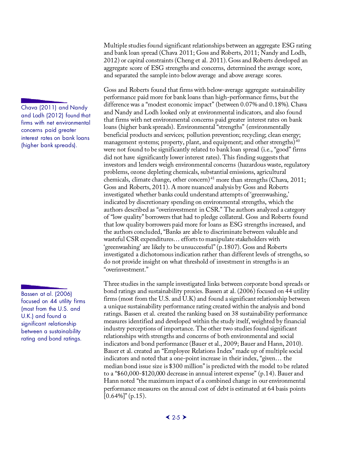Chava (2011) and Nandy and Lodh (2012) found that firms with net environmental concerns paid greater interest rates on bank loans (higher bank spreads).

Bassen at al. (2006) focused on 44 utility firms (most from the U.S. and U.K.) and found a significant relationship between a sustainability rating and bond ratings.

Multiple studies found significant relationships between an aggregate ESG rating and bank loan spread (Chava 2011; Goss and Roberts, 2011; Nandy and Lodh, 2012) or capital constraints (Cheng et al. 2011). Goss and Roberts developed an aggregate score of ESG strengths and concerns, determined the average score, and separated the sample into below average and above average scores.

Goss and Roberts found that firms with below-average aggregate sustainability performance paid more for bank loans than high-performance firms, but the difference was a "modest economic impact" (between 0.07% and 0.18%). Chava and Nandy and Lodh looked only at environmental indicators, and also found that firms with net environmental concerns paid greater interest rates on bank loans (higher bank spreads). Environmental "strengths" (environmentally beneficial products and services; pollution prevention; recycling; clean energy; management systems; property, plant, and equipment; and other strengths)<sup>[40](#page-59-0)</sup> were not found to be significantly related to bank loan spread (i.e., "good" firms did not have significantly lower interest rates). This finding suggests that investors and lenders weigh environmental concerns (hazardous waste, regulatory problems, ozone depleting chemicals, substantial emissions, agricultural chemicals, climate change, other concern)<sup>[41](#page-59-1)</sup> more than strengths (Chava, 2011; Goss and Roberts, 2011). A more nuanced analysis by Goss and Roberts investigated whether banks could understand attempts of 'greenwashing,' indicated by discretionary spending on environmental strengths, which the authors described as "overinvestment in CSR." The authors analyzed a category of "low quality" borrowers that had to pledge collateral. Goss and Roberts found that low quality borrowers paid more for loans as ESG strengths increased, and the authors concluded, "Banks are able to discriminate between valuable and wasteful CSR expenditures… efforts to manipulate stakeholders with 'greenwashing' are likely to be unsuccessful" (p.1807). Goss and Roberts investigated a dichotomous indication rather than different levels of strengths, so do not provide insight on what threshold of investment in strengths is an "overinvestment."

Three studies in the sample investigated links between corporate bond spreads or bond ratings and sustainability proxies. Bassen at al. (2006) focused on 44 utility firms (most from the U.S. and U.K) and found a significant relationship between a unique sustainability performance rating created within the analysis and bond ratings. Bassen et al. created the ranking based on 38 sustainability performance measures identified and developed within the study itself, weighted by financial industry perceptions of importance. The other two studies found significant relationships with strengths and concerns of both environmental and social indicators and bond performance (Bauer et al., 2009; Bauer and Hann, 2010). Bauer et al. created an "Employee Relations Index" made up of multiple social indicators and noted that a one-point increase in their index, "given… the median bond issue size is \$300 million" is predicted with the model to be related to a "\$60,000-\$120,000 decrease in annual interest expense" (p.14). Bauer and Hann noted "the maximum impact of a combined change in our environmental performance measures on the annual cost of debt is estimated at 64 basis points  $[0.64\%]'$ <sup>"</sup> (p.15).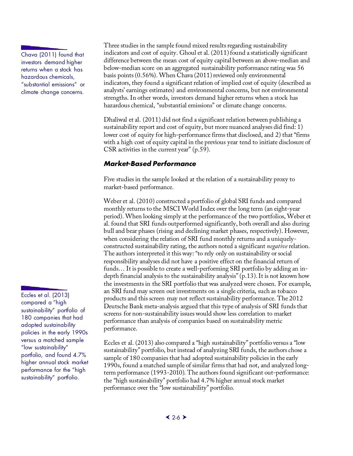Chava (2011) found that investors demand higher returns when a stock has hazardous chemicals, "substantial emissions" or climate change concerns.

Eccles et al. (2013) compared a "high sustainability" portfolio of 180 companies that had adopted sustainability policies in the early 1990s versus a matched sample "low sustainability" portfolio, and found 4.7% higher annual stock market performance for the "high sustainability" portfolio.

Three studies in the sample found mixed results regarding sustainability indicators and cost of equity. Ghoul et al. (2011) found a statistically significant difference between the mean cost of equity capital between an above-median and below-median score on an aggregated sustainability performance rating was 56 basis points (0.56%). When Chava (2011) reviewed only environmental indicators, they found a significant relation of implied cost of equity (described as analysts' earnings estimates) and environmental concerns, but not environmental strengths. In other words, investors demand higher returns when a stock has hazardous chemical, "substantial emissions" or climate change concerns.

Dhaliwal et al. (2011) did not find a significant relation between publishing a sustainability report and cost of equity, but more nuanced analyses did find: 1) lower cost of equity for high-performance firms that disclosed, and 2) that "firms with a high cost of equity capital in the previous year tend to initiate disclosure of CSR activities in the current year" (p.59).

#### <span id="page-25-0"></span>*Market-Based Performance*

Five studies in the sample looked at the relation of a sustainability proxy to market-based performance.

Weber et al. (2010) constructed a portfolio of global SRI funds and compared monthly returns to the MSCI World Index over the long term (an eight-year period). When looking simply at the performance of the two portfolios, Weber et al. found that SRI funds outperformed significantly, both overall and also during bull and bear phases (rising and declining market phases, respectively). However, when considering the relation of SRI fund monthly returns and a uniquelyconstructed sustainability rating, the authors noted a significant *negative* relation. The authors interpreted it this way: "to rely only on sustainability or social responsibility analyses did not have a positive effect on the financial return of funds… It is possible to create a well-performing SRI portfolio by adding an indepth financial analysis to the sustainability analysis" (p.13). It is not known how the investments in the SRI portfolio that was analyzed were chosen. For example, an SRI fund may screen out investments on a single criteria, such as tobacco products and this screen may not reflect sustainability performance. The 2012 Deutsche Bank meta-analysis argued that this type of analysis of SRI funds that screens for non-sustainability issues would show less correlation to market performance than analysis of companies based on sustainability metric performance.

Eccles et al. (2013) also compared a "high sustainability" portfolio versus a "low sustainability" portfolio, but instead of analyzing SRI funds, the authors chose a sample of 180 companies that had adopted sustainability policies in the early 1990s, found a matched sample of similar firms that had not, and analyzed longterm performance (1993-2010). The authors found significant out-performance: the "high sustainability" portfolio had 4.7% higher annual stock market performance over the "low sustainability" portfolio.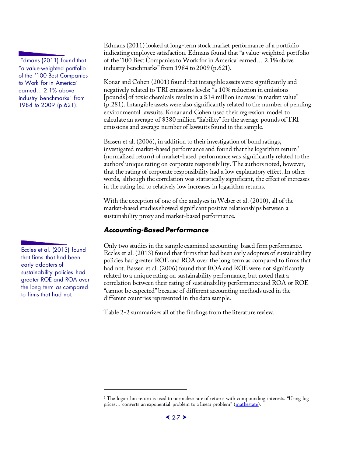Edmans (2011) found that "a value-weighted portfolio of the '100 Best Companies to Work for in America' earned… 2.1% above industry benchmarks" from 1984 to 2009 (p.621).

Eccles et al. (2013) found that firms that had been early adopters of sustainability policies had greater ROE and ROA over the long term as compared to firms that had not.

I

Edmans (2011) looked at long-term stock market performance of a portfolio indicating employee satisfaction. Edmans found that "a value-weighted portfolio of the '100 Best Companies to Work for in America' earned… 2.1% above industry benchmarks" from 1984 to 2009 (p.621).

Konar and Cohen (2001) found that intangible assets were significantly and negatively related to TRI emissions levels: "a 10% reduction in emissions [pounds] of toxic chemicals results in a \$34 million increase in market value" (p.281). Intangible assets were also significantly related to the number of pending environmental lawsuits. Konar and Cohen used their regression model to calculate an average of \$380 million "liability" for the average pounds of TRI emissions and average number of lawsuits found in the sample.

Bassen et al. (2006), in addition to their investigation of bond ratings, investigated market-based performance and found that the logarithm return<sup>[2](#page-26-1)</sup> (normalized return) of market-based performance was significantly related to the authors' unique rating on corporate responsibility. The authors noted, however, that the rating of corporate responsibility had a low explanatory effect. In other words, although the correlation was statistically significant, the effect of increases in the rating led to relatively low increases in logarithm returns.

With the exception of one of the analyses in Weber et al. (2010), all of the market-based studies showed significant positive relationships between a sustainability proxy and market-based performance.

### <span id="page-26-0"></span>*Accounting-Based Performance*

Only two studies in the sample examined accounting-based firm performance. Eccles et al. (2013) found that firms that had been early adopters of sustainability policies had greater ROE and ROA over the long term as compared to firms that had not. Bassen et al. (2006) found that ROA and ROE were not significantly related to a unique rating on sustainability performance, but noted that a correlation between their rating of sustainability performance and ROA or ROE "cannot be expected" because of different accounting methods used in the different countries represented in the data sample.

Table 2-2 summarizes all of the findings from the literature review.

<span id="page-26-1"></span><sup>&</sup>lt;sup>2</sup> The logarithm return is used to normalize rate of returns with compounding interests. "Using log prices... converts an exponential problem to a linear problem" [\(mathestate\)](http://www.mathestate.com/tools/Financial/r01/LogarithmicReturns.html).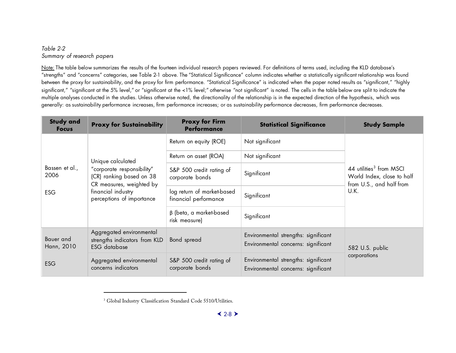#### <span id="page-27-1"></span>*Table 2-2 Summary of research papers*

Note: The table below summarizes the results of the fourteen individual research papers reviewed. For definitions of terms used, including the KLD database's "strengths" and "concerns" categories, see Table 2-1 above. The "Statistical Significance" column indicates whether a statistically significant relationship was found between the proxy for sustainability, and the proxy for firm performance. "Statistical Significance" is indicated when the paper noted results as "significant," "highly significant," "significant at the 5% level," or "significant at the <1% level;" otherwise "not significant" is noted. The cells in the table below are split to indicate the multiple analyses conducted in the studies. Unless otherwise noted, the directionality of the relationship is in the expected direction of the hypothesis, which was generally: as sustainability performance increases, firm performance increases; or as sustainability performance decreases, firm performance decreases.

<span id="page-27-0"></span>

| <b>Study and</b><br><b>Focus</b> | <b>Proxy for Sustainability</b>                                                    | <b>Proxy for Firm</b><br><b>Performance</b>         | <b>Statistical Significance</b>                                             | <b>Study Sample</b>                                                                           |
|----------------------------------|------------------------------------------------------------------------------------|-----------------------------------------------------|-----------------------------------------------------------------------------|-----------------------------------------------------------------------------------------------|
|                                  |                                                                                    | Return on equity (ROE)                              | Not significant                                                             |                                                                                               |
|                                  | Unique calculated                                                                  | Return on asset (ROA)                               | Not significant                                                             |                                                                                               |
| Bassen et al.,<br>2006           | "corporate responsibility"<br>(CR) ranking based on 38<br>CR measures, weighted by | S&P 500 credit rating of<br>corporate bonds         | Significant                                                                 | 44 utilities <sup>3</sup> from MSCI<br>World Index, close to half<br>from U.S., and half from |
| <b>ESG</b>                       | financial industry<br>perceptions of importance                                    | log return of market-based<br>financial performance | Significant                                                                 | U.K.                                                                                          |
|                                  |                                                                                    | $\beta$ (beta, a market-based<br>risk measure)      | Significant                                                                 |                                                                                               |
| Bauer and<br>Hann, 2010          | Aggregated environmental<br>strengths indicators from KLD<br><b>ESG</b> database   | Bond spread                                         | Environmental strengths: significant<br>Environmental concerns: significant | 582 U.S. public<br>corporations                                                               |
| <b>ESG</b>                       | Aggregated environmental<br>concerns indicators                                    | S&P 500 credit rating of<br>corporate bonds         | Environmental strengths: significant<br>Environmental concerns: significant |                                                                                               |

í

<sup>&</sup>lt;sup>3</sup> Global Industry Classification Standard Code 5510/Utilities.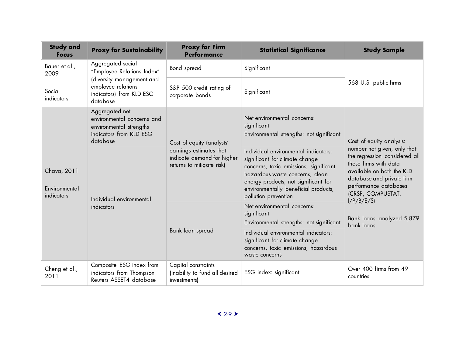| <b>Study and</b><br><b>Focus</b>           | <b>Proxy for Sustainability</b>                                                                                | <b>Proxy for Firm</b><br><b>Performance</b>                                                                     | <b>Statistical Significance</b>                                                                                                                                                                                                                             | <b>Study Sample</b>                                                                                                                                                                                                                                    |
|--------------------------------------------|----------------------------------------------------------------------------------------------------------------|-----------------------------------------------------------------------------------------------------------------|-------------------------------------------------------------------------------------------------------------------------------------------------------------------------------------------------------------------------------------------------------------|--------------------------------------------------------------------------------------------------------------------------------------------------------------------------------------------------------------------------------------------------------|
| Bauer et al.,<br>2009                      | Aggregated social<br>"Employee Relations Index"                                                                | Bond spread<br>S&P 500 credit rating of<br>corporate bonds                                                      | Significant                                                                                                                                                                                                                                                 | 568 U.S. public firms                                                                                                                                                                                                                                  |
| Social<br>indicators                       | (diversity management and<br>employee relations<br>indicators) from KLD ESG<br>database                        |                                                                                                                 | Significant                                                                                                                                                                                                                                                 |                                                                                                                                                                                                                                                        |
|                                            | Aggregated net<br>environmental concerns and<br>environmental strengths<br>indicators from KLD ESG<br>database | Cost of equity (analysts'<br>earnings estimates that<br>indicate demand for higher<br>returns to mitigate risk) | Net environmental concerns:<br>significant<br>Environmental strengths: not significant                                                                                                                                                                      | Cost of equity analysis:                                                                                                                                                                                                                               |
| Chava, 2011<br>Environmental<br>indicators | Individual environmental<br>indicators                                                                         |                                                                                                                 | Individual environmental indicators:<br>significant for climate change<br>concerns, toxic emissions, significant<br>hazardous waste concerns, clean<br>energy products; not significant for<br>environmentally beneficial products,<br>pollution prevention | number not given, only that<br>the regression considered all<br>those firms with data<br>available on both the KLD<br>database and private firm<br>performance databases<br>(CRSP, COMPUSTAT,<br>I/P/B/E/S<br>Bank loans: analyzed 5,879<br>bank loans |
|                                            |                                                                                                                | Bank loan spread                                                                                                | Net environmental concerns:<br>significant<br>Environmental strengths: not significant                                                                                                                                                                      |                                                                                                                                                                                                                                                        |
|                                            |                                                                                                                |                                                                                                                 | Individual environmental indicators:<br>significant for climate change<br>concerns, toxic emissions, hazardous<br>waste concerns                                                                                                                            |                                                                                                                                                                                                                                                        |
| Cheng et al.,<br>2011                      | Composite ESG index from<br>indicators from Thompson<br>Reuters ASSET4 database                                | Capital constraints<br>(inability to fund all desired<br>investments)                                           | ESG index: significant                                                                                                                                                                                                                                      | Over 400 firms from 49<br>countries                                                                                                                                                                                                                    |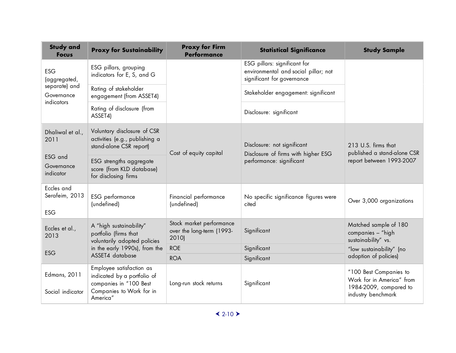| <b>Study and</b><br><b>Focus</b>           | <b>Proxy for Sustainability</b>                                                                                           | <b>Proxy for Firm</b><br><b>Performance</b>                    | <b>Statistical Significance</b>                                                                    | <b>Study Sample</b>                                                                                 |
|--------------------------------------------|---------------------------------------------------------------------------------------------------------------------------|----------------------------------------------------------------|----------------------------------------------------------------------------------------------------|-----------------------------------------------------------------------------------------------------|
| <b>ESG</b><br>(aggregated,                 | ESG pillars, grouping<br>indicators for E, S, and G                                                                       |                                                                | ESG pillars: significant for<br>environmental and social pillar; not<br>significant for governance |                                                                                                     |
| separate) and<br>Governance<br>indicators  | Rating of stakeholder<br>engagement (from ASSET4)                                                                         |                                                                | Stakeholder engagement: significant                                                                |                                                                                                     |
|                                            | Rating of disclosure (from<br>ASSET4)                                                                                     |                                                                | Disclosure: significant                                                                            |                                                                                                     |
| Dhaliwal et al.,<br>2011                   | Voluntary disclosure of CSR<br>activities (e.g., publishing a<br>stand-alone CSR report)                                  | Cost of equity capital                                         | Disclosure: not significant<br>Disclosure of firms with higher ESG                                 | 213 U.S. firms that<br>published a stand-alone CSR                                                  |
| ESG and<br>Governance<br>indicator         | ESG strengths aggregate<br>score (from KLD database)<br>for disclosing firms                                              |                                                                | performance: significant                                                                           | report between 1993-2007                                                                            |
| Eccles and<br>Serafeim, 2013<br><b>ESG</b> | <b>ESG</b> performance<br>(undefined)                                                                                     | Financial performance<br>(undefined)                           | No specific significance figures were<br>cited                                                     | Over 3,000 organizations                                                                            |
| Eccles et al.,<br>2013                     | A "high sustainability"<br>portfolio (firms that<br>voluntarily adopted policies                                          | Stock market performance<br>over the long-term (1993-<br>2010) | Significant                                                                                        | Matched sample of 180<br>companies - "high<br>sustainability" vs.                                   |
| <b>ESG</b>                                 | in the early 1990s), from the                                                                                             | <b>ROE</b>                                                     | Significant                                                                                        | "low sustainability" (no                                                                            |
|                                            | ASSET4 database                                                                                                           | <b>ROA</b>                                                     | Significant                                                                                        | adoption of policies)                                                                               |
| <b>Edmans</b> , 2011<br>Social indicator   | Employee satisfaction as<br>indicated by a portfolio of<br>companies in "100 Best<br>Companies to Work for in<br>America" | Long-run stock returns                                         | Significant                                                                                        | "100 Best Companies to<br>Work for in America" from<br>1984-2009, compared to<br>industry benchmark |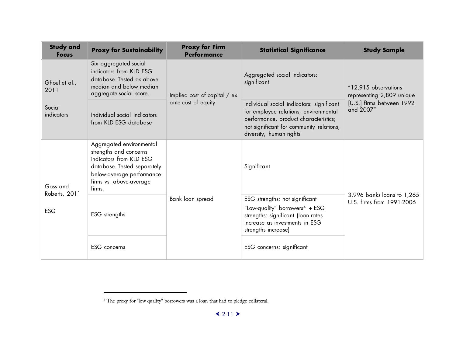<span id="page-30-0"></span>

| <b>Study and</b><br><b>Focus</b> | <b>Proxy for Sustainability</b>                                                                                                                                                | <b>Proxy for Firm</b><br><b>Performance</b>         | <b>Statistical Significance</b>                                                                                                                                                                    | <b>Study Sample</b>                                     |
|----------------------------------|--------------------------------------------------------------------------------------------------------------------------------------------------------------------------------|-----------------------------------------------------|----------------------------------------------------------------------------------------------------------------------------------------------------------------------------------------------------|---------------------------------------------------------|
| Ghoul et al.,<br>2011            | Six aggregated social<br>indicators from KLD ESG<br>database. Tested as above<br>median and below median<br>aggregate social score.                                            | Implied cost of capital / ex<br>ante cost of equity | Aggregated social indicators:<br>significant                                                                                                                                                       | "12,915 observations<br>representing 2,809 unique       |
| Social<br>indicators             | Individual social indicators<br>from KLD ESG database                                                                                                                          |                                                     | Individual social indicators: significant<br>for employee relations, environmental<br>performance, product characteristics;<br>not significant for community relations,<br>diversity, human rights | [U.S.] firms between 1992<br>and 2007"                  |
| Goss and                         | Aggregated environmental<br>strengths and concerns<br>indicators from KLD ESG<br>database. Tested separately<br>below-average performance<br>firms vs. above-average<br>firms. |                                                     | Significant                                                                                                                                                                                        |                                                         |
| Roberts, 2011<br><b>ESG</b>      | ESG strengths                                                                                                                                                                  | Bank loan spread                                    | ESG strengths: not significant<br>"Low-quality" borrowers <sup>4</sup> + ESG<br>strengths: significant (loan rates<br>increase as investments in ESG<br>strengths increase)                        | 3,996 banks loans to 1,265<br>U.S. firms from 1991-2006 |
|                                  | ESG concerns                                                                                                                                                                   |                                                     | ESG concerns: significant                                                                                                                                                                          |                                                         |

í

 $^{\rm 4}$  The proxy for "low quality" borrowers was a loan that had to pledge collateral.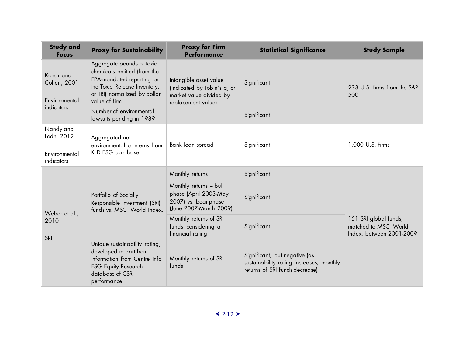| <b>Study and</b><br><b>Focus</b>                       | <b>Proxy for Sustainability</b>                                                                                                                                         | <b>Proxy for Firm</b><br><b>Performance</b>                                                            | <b>Statistical Significance</b>                                                                             | <b>Study Sample</b>                                                        |
|--------------------------------------------------------|-------------------------------------------------------------------------------------------------------------------------------------------------------------------------|--------------------------------------------------------------------------------------------------------|-------------------------------------------------------------------------------------------------------------|----------------------------------------------------------------------------|
| Konar and<br>Cohen, 2001<br>Environmental              | Aggregate pounds of toxic<br>chemicals emitted (from the<br>EPA-mandated reporting on<br>the Toxic Release Inventory,<br>or TRI) normalized by dollar<br>value of firm. | Intangible asset value<br>(indicated by Tobin's q, or<br>market value divided by<br>replacement value) | Significant                                                                                                 | 233 U.S. firms from the S&P<br>500                                         |
| indicators                                             | Number of environmental<br>lawsuits pending in 1989                                                                                                                     |                                                                                                        | Significant                                                                                                 |                                                                            |
| Nandy and<br>Lodh, 2012<br>Environmental<br>indicators | Aggregated net<br>environmental concerns from<br>KLD ESG database                                                                                                       | Bank loan spread                                                                                       | Significant                                                                                                 | 1,000 U.S. firms                                                           |
| Weber et al.,<br>2010<br>SRI                           | Portfolio of Socially<br>Responsible Investment (SRI)<br>funds vs. MSCI World Index.                                                                                    | Monthly returns                                                                                        | Significant                                                                                                 | 151 SRI global funds,<br>matched to MSCI World<br>Index, between 2001-2009 |
|                                                        |                                                                                                                                                                         | Monthly returns - bull<br>phase (April 2003-May<br>2007) vs. bear phase<br>(June 2007-March 2009)      | Significant                                                                                                 |                                                                            |
|                                                        |                                                                                                                                                                         | Monthly returns of SRI<br>funds, considering a<br>financial rating                                     | Significant                                                                                                 |                                                                            |
|                                                        | Unique sustainability rating,<br>developed in part from<br>information from Centre Info<br><b>ESG Equity Research</b><br>database of CSR<br>performance                 | Monthly returns of SRI<br>funds                                                                        | Significant, but negative (as<br>sustainability rating increases, monthly<br>returns of SRI funds decrease) |                                                                            |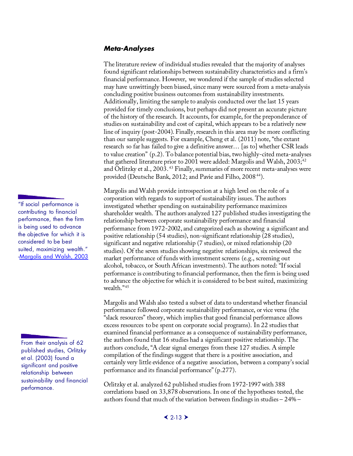#### <span id="page-32-0"></span>*Meta-Analyses*

The literature review of individual studies revealed that the majority of analyses found significant relationships between sustainability characteristics and a firm's financial performance. However, we wondered if the sample of studies selected may have unwittingly been biased, since many were sourced from a meta-analysis concluding positive business outcomes from sustainability investments. Additionally, limiting the sample to analysis conducted over the last 15 years provided for timely conclusions, but perhaps did not present an accurate picture of the history of the research. It accounts, for example, for the preponderance of studies on sustainability and cost of capital, which appears to be a relatively new line of inquiry (post-2004). Finally, research in this area may be more conflicting than our sample suggests. For example, Cheng et al. (2011) note, "the extant research so far has failed to give a definitive answer… [as to] whether CSR leads to value creation" (p.2). To balance potential bias, two highly-cited meta-analyses that gathered literature prior to 2001 were added: Margolis and Walsh,  $2003;^{42}$ and Orlitzky et al., 2003. [43](#page-60-1) Finally, summaries of more recent meta-analyses were provided (Deutsche Bank, 2012; and Pavie and Filho, 2008<sup>[44](#page-60-2)</sup>).

Margolis and Walsh provide introspection at a high level on the role of a corporation with regards to support of sustainability issues. The authors investigated whether spending on sustainability performance maximizes shareholder wealth. The authors analyzed 127 published studies investigating the relationship between corporate sustainability performance and financial performance from 1972-2002, and categorized each as showing a significant and positive relationship (54 studies), non-significant relationship (28 studies), significant and negative relationship (7 studies), or mixed relationship (20 studies). Of the seven studies showing negative relationships, six reviewed the market performance of funds with investment screens (e.g., screening out alcohol, tobacco, or South African investments). The authors noted: "If social performance is contributing to financial performance, then the firm is being used to advance the objective for which it is considered to be best suited, maximizing wealth."[45](#page-60-3)

Margolis and Walsh also tested a subset of data to understand whether financial performance followed corporate sustainability performance, or vice versa (the "slack resources" theory, which implies that good financial performance allows excess resources to be spent on corporate social programs). In 22 studies that examined financial performance as a consequence of sustainability performance, the authors found that 16 studies had a significant positive relationship. The authors conclude, "A clear signal emerges from these 127 studies. A simple compilation of the findings suggest that there is a positive association, and certainly very little evidence of a negative association, between a company's social performance and its financial performance" (p.277).

Orlitzky et al. analyzed 62 published studies from 1972-1997 with 388 correlations based on 33,878 observations. In one of the hypotheses tested, the authors found that much of the variation between findings in studies – 24% –

"If social performance is contributing to financial performance, then the firm is being used to advance the objective for which it is considered to be best suited, maximizing wealth." [-Margolis and Walsh, 2003](http://jamespwalsh.com/Resources/Margolis%20and%20Walsh%20--%202003%20--%20Misery%20loves%20companies%20Rethinking%20social%20intiatives%20by%20business.pdf)

From their analysis of 62 published studies, Orlitzky et al. (2003) found a significant and positive relationship between sustainability and financial performance.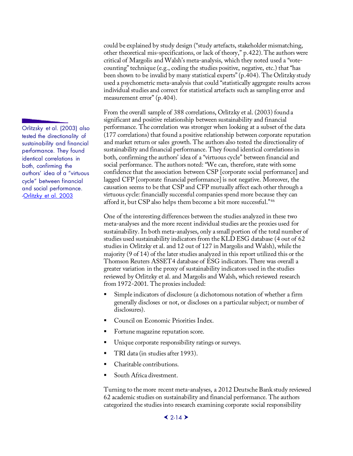could be explained by study design ("study artefacts, stakeholder mismatching, other theoretical mis-specifications, or lack of theory," p.422). The authors were critical of Margolis and Walsh's meta-analysis, which they noted used a "votecounting" technique (e.g., coding the studies positive, negative, etc.) that "has been shown to be invalid by many statistical experts" (p.404). The Orlitzky study used a psychometric meta-analysis that could "statistically aggregate results across individual studies and correct for statistical artefacts such as sampling error and measurement error" (p.404).

From the overall sample of 388 correlations, Orlitzky et al. (2003) found a significant and positive relationship between sustainability and financial performance. The correlation was stronger when looking at a subset of the data (177 correlations) that found a positive relationship between corporate reputation and market return or sales growth. The authors also tested the directionality of sustainability and financial performance. They found identical correlations in both, confirming the authors' idea of a "virtuous cycle" between financial and social performance. The authors noted: "We can, therefore, state with some confidence that the association between CSP [corporate social performance] and lagged CFP [corporate financial performance] is not negative. Moreover, the causation seems to be that CSP and CFP mutually affect each other through a virtuous cycle: financially successful companies spend more because they can afford it, but CSP also helps them become a bit more successful."[46](#page-61-0)

One of the interesting differences between the studies analyzed in these two meta-analyses and the more recent individual studies are the proxies used for sustainability. In both meta-analyses, only a small portion of the total number of studies used sustainability indicators from the KLD ESG database (4 out of 62 studies in Orlitzky et al. and 12 out of 127 in Margolis and Walsh), while the majority (9 of 14) of the later studies analyzed in this report utilized this or the Thomson Reuters ASSET4 database of ESG indicators. There was overall a greater variation in the proxy of sustainability indicators used in the studies reviewed by Orlitzky et al. and Margolis and Walsh, which reviewed research from 1972-2001. The proxies included:

- Simple indicators of disclosure (a dichotomous notation of whether a firm generally discloses or not, or discloses on a particular subject; or number of disclosures).
- Council on Economic Priorities Index.
- Fortune magazine reputation score.
- Unique corporate responsibility ratings or surveys.
- TRI data (in studies after 1993).
- Charitable contributions.
- South Africa divestment.

Turning to the more recent meta-analyses, a 2012 Deutsche Bank study reviewed 62 academic studies on sustainability and financial performance. The authors categorized the studies into research examining corporate social responsibility

Orlitzsky et al. (2003) also tested the directionality of sustainability and financial performance. They found identical correlations in both, confirming the authors' idea of a "virtuous cycle" between financial and social performance. [-Orlitzky et al. 2003](http://bulldog2.redlands.edu/fac/marc_orlitzky/images/orlitzkyschmidtrynes2003os.pdf)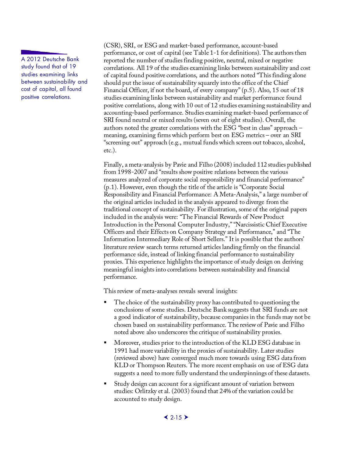A 2012 Deutsche Bank study found that of 19 studies examining links between sustainability and cost of capital, all found positive correlations.

(CSR), SRI, or ESG and market-based performance, account-based performance, or cost of capital (see Table 1-1 for definitions). The authors then reported the number of studies finding positive, neutral, mixed or negative correlations. All 19 of the studies examining links between sustainability and cost of capital found positive correlations, and the authors noted "This finding alone should put the issue of sustainability squarely into the office of the Chief Financial Officer, if not the board, of every company" (p.5). Also, 15 out of 18 studies examining links between sustainability and market performance found positive correlations, along with 10 out of 12 studies examining sustainability and accounting-based performance. Studies examining market-based performance of SRI found neutral or mixed results (seven out of eight studies). Overall, the authors noted the greater correlations with the ESG "best in class" approach – meaning, examining firms which perform best on ESG metrics – over an SRI "screening out" approach (e.g., mutual funds which screen out tobacco, alcohol, etc.).

Finally, a meta-analysis by Pavie and Filho (2008) included 112 studies published from 1998-2007 and "results show positive relations between the various measures analyzed of corporate social responsibility and financial performance" (p.1). However, even though the title of the article is "Corporate Social Responsibility and Financial Performance: A Meta-Analysis," a large number of the original articles included in the analysis appeared to diverge from the traditional concept of sustainability. For illustration, some of the original papers included in the analysis were: "The Financial Rewards of New Product Introduction in the Personal Computer Industry," "Narcissistic Chief Executive Officers and their Effects on Company Strategy and Performance," and "The Information Intermediary Role of Short Sellers." It is possible that the authors' literature review search terms returned articles landing firmly on the financial performance side, instead of linking financial performance to sustainability proxies. This experience highlights the importance of study design on deriving meaningful insights into correlations between sustainability and financial performance.

This review of meta-analyses reveals several insights:

- The choice of the sustainability proxy has contributed to questioning the conclusions of some studies. Deutsche Bank suggests that SRI funds are not a good indicator of sustainability, because companies in the funds may not be chosen based on sustainability performance. The review of Pavie and Filho noted above also underscores the critique of sustainability proxies.
- Moreover, studies prior to the introduction of the KLD ESG database in 1991 had more variability in the proxies of sustainability. Later studies (reviewed above) have converged much more towards using ESG data from KLD or Thompson Reuters. The more recent emphasis on use of ESG data suggests a need to more fully understand the underpinnings of these datasets.
- Study design can account for a significant amount of variation between studies: Orlitzky et al. (2003) found that 24% of the variation could be accounted to study design.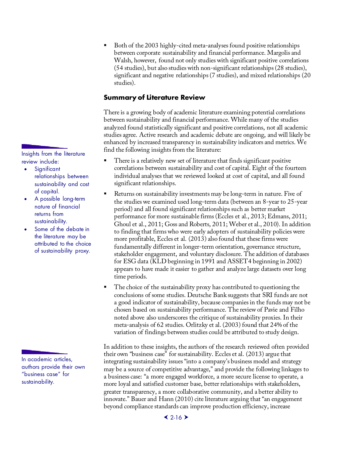<span id="page-35-0"></span>Insights from the literature review include:

- **Significant** relationships between sustainability and cost of capital.
- A possible long-term nature of financial returns from sustainability.
- Some of the debate in the literature may be attributed to the choice of sustainability proxy.

In academic articles, authors provide their own "business case" for sustainability.

 Both of the 2003 highly-cited meta-analyses found positive relationships between corporate sustainability and financial performance. Margolis and Walsh, however, found not only studies with significant positive correlations (54 studies), but also studies with non-significant relationships (28 studies), significant and negative relationships (7 studies), and mixed relationships (20 studies).

### **Summary of Literature Review**

There is a growing body of academic literature examining potential correlations between sustainability and financial performance. While many of the studies analyzed found statistically significant and positive correlations, not all academic studies agree. Active research and academic debate are ongoing, and will likely be enhanced by increased transparency in sustainability indicators and metrics. We find the following insights from the literature:

- There is a relatively new set of literature that finds significant positive correlations between sustainability and cost of capital. Eight of the fourteen individual analyses that we reviewed looked at cost of capital, and all found significant relationships.
- Returns on sustainability investments may be long-term in nature. Five of the studies we examined used long-term data (between an 8-year to 25-year period) and all found significant relationships such as better market performance for more sustainable firms (Eccles et al., 2013; Edmans, 2011; Ghoul et al., 2011; Goss and Roberts, 2011; Weber et al., 2010). In addition to finding that firms who were early adopters of sustainability policies were more profitable, Eccles et al. (2013) also found that these firms were fundamentally different in longer-term orientation, governance structure, stakeholder engagement, and voluntary disclosure. The addition of databases for ESG data (KLD beginning in 1991 and ASSET4 beginning in 2002) appears to have made it easier to gather and analyze large datasets over long time periods.
- The choice of the sustainability proxy has contributed to questioning the conclusions of some studies. Deutsche Bank suggests that SRI funds are not a good indicator of sustainability, because companies in the funds may not be chosen based on sustainability performance. The review of Pavie and Filho noted above also underscores the critique of sustainability proxies. In their meta-analysis of 62 studies. Orlitzky et al. (2003) found that 24% of the variation of findings between studies could be attributed to study design.

In addition to these insights, the authors of the research reviewed often provided their own "business case" for sustainability. Eccles et al. (2013) argue that integrating sustainability issues "into a company's business model and strategy may be a source of competitive advantage," and provide the following linkages to a business case: "a more engaged workforce, a more secure license to operate, a more loyal and satisfied customer base, better relationships with stakeholders, greater transparency, a more collaborative community, and a better ability to innovate." Bauer and Hann (2010) cite literature arguing that "an engagement beyond compliance standards can improve production efficiency, increase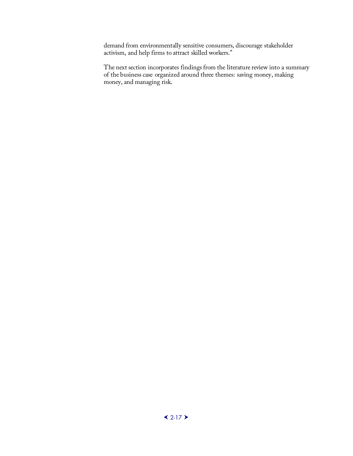demand from environmentally sensitive consumers, discourage stakeholder activism, and help firms to attract skilled workers."

The next section incorporates findings from the literature review into a summary of the business case organized around three themes: saving money, making money, and managing risk.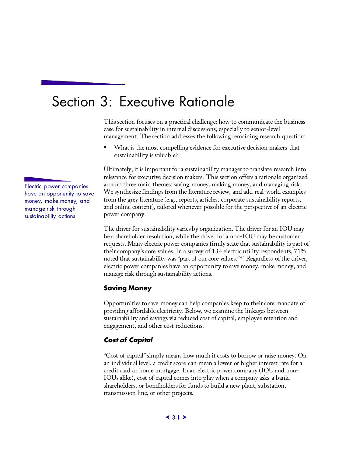# <span id="page-38-0"></span>Section 3: Executive Rationale

This section focuses on a practical challenge: how to communicate the business case for sustainability in internal discussions, especially to senior-level management. The section addresses the following remaining research question:

 What is the most compelling evidence for executive decision makers that sustainability is valuable?

Ultimately, it is important for a sustainability manager to translate research into relevance for executive decision makers. This section offers a rationale organized around three main themes: saving money, making money, and managing risk. We synthesize findings from the literature review, and add real-world examples from the grey literature (e.g., reports, articles, corporate sustainability reports, and online content), tailored whenever possible for the perspective of an electric power company.

The driver for sustainability varies by organization. The driver for an IOU may be a shareholder resolution, while the driver for a non-IOU may be customer requests. Many electric power companies firmly state that sustainability is part of their company's core values. In a survey of 134 electric utility respondents, 71% noted that sustainability was "part of our core values."[47](#page-61-1) Regardless of the driver, electric power companies have an opportunity to save money, make money, and manage risk through sustainability actions.

#### <span id="page-38-1"></span>**Saving Money**

Opportunities to save money can help companies keep to their core mandate of providing affordable electricity. Below, we examine the linkages between sustainability and savings via reduced cost of capital, employee retention and engagement, and other cost reductions.

#### <span id="page-38-2"></span>*Cost of Capital*

"Cost of capital" simply means how much it costs to borrow or raise money. On an individual level, a credit score can mean a lower or higher interest rate for a credit card or home mortgage. In an electric power company (IOU and non-IOUs alike), cost of capital comes into play when a company asks a bank, shareholders, or bondholders for funds to build a new plant, substation, transmission line, or other projects.

Electric power companies have an opportunity to save money, make money, and manage risk through sustainability actions.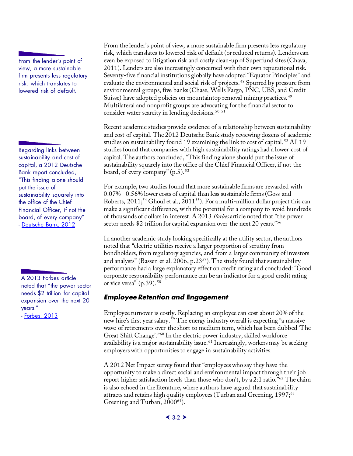From the lender's point of view, a more sustainable firm presents less regulatory risk, which translates to lowered risk of default.

Regarding links between sustainability and cost of capital, a 2012 Deutsche Bank report concluded, "This finding alone should put the issue of sustainability squarely into the office of the Chief Financial Officer, if not the board, of every company" - [Deutsche Bank, 2012](https://www.dbadvisors.com/content/_media/Sustainable_Investing_2012.pdf)

<span id="page-39-0"></span>A 2013 Forbes article noted that "the power sector needs \$2 trillion for capital expansion over the next 20 years."

- [Forbes, 2013](http://www.forbes.com/sites/kensilverstein/2013/03/23/utilities-arent-just-blowing-smoke-they-are-generating-goodwill/)

From the lender's point of view, a more sustainable firm presents less regulatory risk, which translates to lowered risk of default (or reduced returns). Lenders can even be exposed to litigation risk and costly clean-up of Superfund sites (Chava, 2011). Lenders are also increasingly concerned with their own reputational risk. Seventy-five financial institutions globally have adopted "Equator Principles" and evaluate the environmental and social risk of projects. [48](#page-61-2) Spurred by pressure from environmental groups, five banks (Chase, Wells Fargo, PNC, UBS, and Credit Suisse) have adopted policies on mountaintop removal mining practices.<sup>[49](#page-61-3)</sup> Multilateral and nonprofit groups are advocating for the financial sector to consider water scarcity in lending decisions. [50](#page-61-4) [51](#page-61-5)

Recent academic studies provide evidence of a relationship between sustainability and cost of capital. The 2012 Deutsche Bank study reviewing dozens of academic studies on sustainability found 19 examining the link to cost of capital. [52](#page-61-6) All 19 studies found that companies with high sustainability ratings had a lower cost of capital. The authors concluded, "This finding alone should put the issue of sustainability squarely into the office of the Chief Financial Officer, if not the board, of every company"  $(p.5)$ . [53](#page-61-7)

For example, two studies found that more sustainable firms are rewarded with 0.07% - 0.56% lower costs of capital than less sustainable firms (Goss and Roberts, 2011;<sup>[54](#page-61-8)</sup> Ghoul et al., 2011<sup>55</sup>). For a multi-million dollar project this can make a significant difference, with the potential for a company to avoid hundreds of thousands of dollars in interest. A 2013 *Forbes* article noted that "the power sector needs \$2 trillion for capital expansion over the next 20 years."<sup>[56](#page-61-10)</sup>

In another academic study looking specifically at the utility sector, the authors noted that "electric utilities receive a larger proportion of scrutiny from bondholders, from regulatory agencies, and from a larger community of investors and analysts" (Bassen et al. 2006, p.23[57\)](#page-61-11). The study found that sustainability performance had a large explanatory effect on credit rating and concluded: "Good corporate responsibility performance can be an indicator for a good credit rating or vice versa"  $(p.39)$ . <sup>[58](#page-61-12)</sup>

### *Employee Retention and Engagement*

Employee turnover is costly. Replacing an employee can cost about 20% of the new hire's first year salary. [59](#page-61-13) The energy industry overall is expecting "a massive wave of retirements over the short to medium term, which has been dubbed 'The Great Shift Change'."[60](#page-61-14) In the electric power industry, skilled workforce availability is a major sustainability issue. [61](#page-61-15) Increasingly, workers may be seeking employers with opportunities to engage in sustainability activities.

A 2012 Net Impact survey found that "employees who say they have the opportunity to make a direct social and environmental impact through their job report higher satisfaction levels than those who don't, by a 2:1 ratio.["62](#page-61-16) The claim is also echoed in the literature, where authors have argued that sustainability attracts and retains high quality employees (Turban and Greening, 1997;<sup>[63](#page-61-17)</sup>) Greening and Turban, 2000<sup>[64](#page-61-18)</sup>).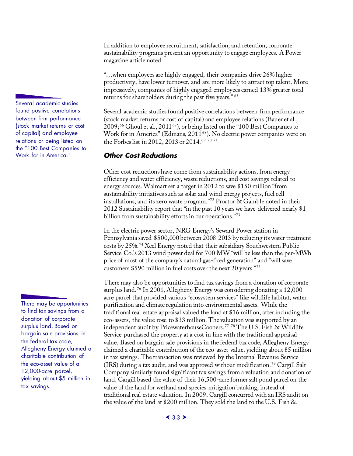In addition to employee recruitment, satisfaction, and retention, corporate sustainability programs present an opportunity to engage employees. A Power magazine article noted:

"…when employees are highly engaged, their companies drive 26% higher productivity, have lower turnover, and are more likely to attract top talent. More impressively, companies of highly engaged employees earned 13% greater total returns for shareholders during the past five years." [65](#page-61-19)

Several academic studies found positive correlations between firm performance (stock market returns or cost of capital) and employee relations (Bauer et al., 2009;<sup>[66](#page-61-20)</sup> Ghoul et al., 2011<sup>67</sup>), or being listed on the "100 Best Companies to Work for in America" (Edmans, 2011<sup>68</sup>). No electric power companies were on the Forbes list in 2012, 2013 or 2014. [69](#page-61-9) [70](#page-61-23) [71](#page-61-11)

#### *Other Cost Reductions*

Other cost reductions have come from sustainability actions, from energy efficiency and water efficiency, waste reductions, and cost savings related to energy sources. Walmart set a target in 2012 to save \$150 million "from sustainability initiatives such as solar and wind energy projects, fuel cell installations, and its zero waste program.["72](#page-61-24) Proctor & Gamble noted in their 2012 Sustainability report that "in the past 10 years we have delivered nearly \$1 billion from sustainability efforts in our operations."<sup>[73](#page-61-25)</sup>

In the electric power sector, NRG Energy's Seward Power station in Pennsylvania saved \$500,000 between 2008-2013 by reducing its water treatment costs by 25%. [74](#page-61-26) Xcel Energy noted that their subsidiary Southwestern Public Service Co.'s 2013 wind power deal for 700 MW "will be less than the per-MWh price of most of the company's natural gas-fired generation" and "will save customers \$590 million in fuel costs over the next 20 years."[75](#page-61-27)

There may also be opportunities to find tax savings from a donation of corporate surplus land. [76](#page-61-28) In 2001, Allegheny Energy was considering donating a 12,000 acre parcel that provided various "ecosystem services" like wildlife habitat, water purification and climate regulation into environmental assets. While the traditional real estate appraisal valued the land at \$16 million, after including the eco-assets, the value rose to \$33 million. The valuation was supported by an independent audit by PricewaterhouseCoopers. [77](#page-61-29) [78](#page-61-30) The U.S. Fish & Wildlife Service purchased the property at a cost in line with the traditional appraisal value. Based on bargain sale provisions in the federal tax code, Allegheny Energy claimed a charitable contribution of the eco-asset value, yielding about \$5 million in tax savings. The transaction was reviewed by the Internal Revenue Service (IRS) during a tax audit, and was approved without modification. [79](#page-61-31) Cargill Salt Company similarly found significant tax savings from a valuation and donation of land. Cargill based the value of their 16,500-acre former salt pond parcel on the value of the land for wetland and species mitigation banking, instead of traditional real estate valuation. In 2009, Cargill concurred with an IRS audit on the value of the land at \$200 million. They sold the land to the U.S. Fish &

<span id="page-40-0"></span>Several academic studies found positive correlations between firm performance (stock market returns or cost of capital) and employee relations or being listed on the "100 Best Companies to Work for in America."

There may be opportunities to find tax savings from a donation of corporate surplus land. Based on bargain sale provisions in the federal tax code, Allegheny Energy claimed a charitable contribution of the eco-asset value of a 12,000-acre parcel, yielding about \$5 million in tax savings.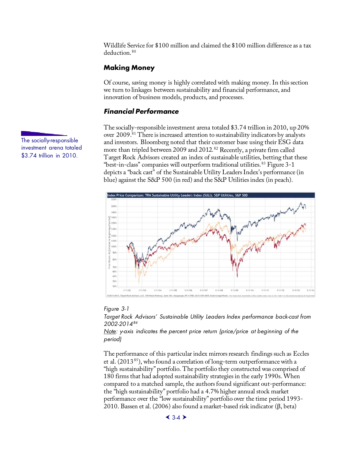Wildlife Service for \$100 million and claimed the \$100 million difference as a tax deduction. [80](#page-61-32)

#### <span id="page-41-0"></span>**Making Money**

Of course, saving money is highly correlated with making money. In this section we turn to linkages between sustainability and financial performance, and innovation of business models, products, and processes.

#### *Financial Performance*

The socially-responsible investment arena totaled \$3.74 trillion in 2010, up 20% over 2009.[81](#page-61-33) There is increased attention to sustainability indicators by analysts and investors. Bloomberg noted that their customer base using their ESG data more than tripled between 2009 and 2012. [82](#page-61-34) Recently, a private firm called Target Rock Advisors created an index of sustainable utilities, betting that these "best-in-class" companies will outperform traditional utilities. [83](#page-61-35) Figure 3-1 depicts a "back cast" of the Sustainable Utility Leaders Index's performance (in blue) against the S&P 500 (in red) and the S&P Utilities index (in peach).



#### <span id="page-41-2"></span>*Figure 3-1*

*Target Rock Advisors' Sustainable Utility Leaders Index performance back-cast from 2002-2014[84](#page-61-36)*

*Note: y-axis indicates the percent price return (price/price at beginning of the period)*

The performance of this particular index mirrors research findings such as Eccles et al. (2013[85](#page-61-37)), who found a correlation of long-term outperformance with a "high sustainability" portfolio. The portfolio they constructed was comprised of 180 firms that had adopted sustainability strategies in the early 1990s. When compared to a matched sample, the authors found significant out-performance: the "high sustainability" portfolio had a 4.7% higher annual stock market performance over the "low sustainability" portfolio over the time period 1993- 2010. Bassen et al. (2006) also found a market-based risk indicator (β, beta)

<span id="page-41-1"></span>The socially-responsible investment arena totaled \$3.74 trillion in 2010.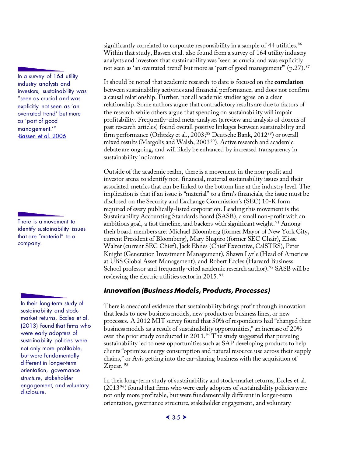In a survey of 164 utility industry analysts and investors, sustainability was "seen as crucial and was explicitly not seen as 'an overrated trend' but more as 'part of good management.'" [-Bassen et al. 2006](http://www.wiso.uni-hamburg.de/fileadmin/sozialoekonomie/bwl/bassen/Aktuelles/2006_The_Influence_of_CR_on_CoC.pdf)

There is a movement to identify sustainability issues that are "material" to a company.

In their long-term study of sustainability and stockmarket returns, Eccles et al. (2013) found that firms who were early adopters of sustainability policies were not only more profitable, but were fundamentally different in longer-term orientation, governance structure, stakeholder engagement, and voluntary disclosure.

significantly correlated to corporate responsibility in a sample of 44 utilities.<sup>[86](#page-61-38)</sup> Within that study, Bassen et al. also found from a survey of 164 utility industry analysts and investors that sustainability was "seen as crucial and was explicitly not seen as 'an overrated trend' but more as 'part of good management'" (p.27). [87](#page-61-39) 

It should be noted that academic research to date is focused on the **correlation** between sustainability activities and financial performance, and does not confirm a causal relationship. Further, not all academic studies agree on a clear relationship. Some authors argue that contradictory results are due to factors of the research while others argue that spending on sustainability will impair profitability. Frequently-cited meta-analyses (a review and analysis of dozens of past research articles) found overall positive linkages between sustainability and firm performance (Orlitzky et al.,  $2003$ ;<sup>[88](#page-61-40)</sup> Deutsche Bank,  $2012^{89}$ ) or overall mixed results (Margolis and Walsh, 2003<sup>90</sup>). Active research and academic debate are ongoing, and will likely be enhanced by increased transparency in sustainability indicators.

Outside of the academic realm, there is a movement in the non-profit and investor arena to identify non-financial, material sustainability issues and their associated metrics that can be linked to the bottom line at the industry level. The implication is that if an issue is "material" to a firm's financials, the issue must be disclosed on the Security and Exchange Commission's (SEC) 10-K form required of every publically-listed corporation. Leading this movement is the Sustainability Accounting Standards Board (SASB), a small non-profit with an ambitious goal, a fast timeline, and backers with significant weight.<sup>[91](#page-61-43)</sup> Among their board members are: Michael Bloomberg (former Mayor of New York City, current President of Bloomberg), Mary Shapiro (former SEC Chair), Elisse Walter (current SEC Chief), Jack Ehnes (Chief Executive, CalSTRS), Peter Knight (Generation Investment Management), Shawn Lytle (Head of Americas at UBS Global Asset Management), and Robert Eccles (Harvard Business School professor and frequently-cited academic research author). <sup>[92](#page-61-44)</sup> SASB will be reviewing the electric utilities sector in 2015. [93](#page-61-45)

#### <span id="page-42-0"></span>*Innovation (Business Models, Products, Processes)*

There is anecdotal evidence that sustainability brings profit through innovation that leads to new business models, new products or business lines, or new processes. A 2012 MIT survey found that 50% of respondents had "changed their business models as a result of sustainability opportunities," an increase of 20% over the prior study conducted in 2011.<sup>[94](#page-61-46)</sup> The study suggested that pursuing sustainability led to new opportunities such as SAP developing products to help clients "optimize energy consumption and natural resource use across their supply chains," or Avis getting into the car-sharing business with the acquisition of Zipcar.<sup>[95](#page-61-9)</sup>

In their long-term study of sustainability and stock-market returns, Eccles et al.  $(2013<sup>96</sup>)$  $(2013<sup>96</sup>)$  $(2013<sup>96</sup>)$  found that firms who were early adopters of sustainability policies were not only more profitable, but were fundamentally different in longer-term orientation, governance structure, stakeholder engagement, and voluntary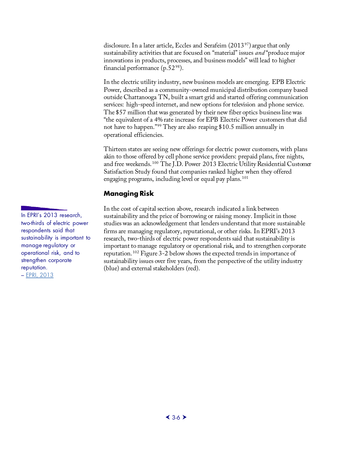disclosure. In a later article, Eccles and Serafeim  $(2013^{97})$  $(2013^{97})$  $(2013^{97})$  argue that only sustainability activities that are focused on "material" issues *and* "produce major innovations in products, processes, and business models" will lead to higher financial performance  $(p.52<sup>98</sup>)$  $(p.52<sup>98</sup>)$  $(p.52<sup>98</sup>)$ .

In the electric utility industry, new business models are emerging. EPB Electric Power, described as a community-owned municipal distribution company based outside Chattanooga TN, built a smart grid and started offering communication services: high-speed internet, and new options for television and phone service. The \$57 million that was generated by their new fiber optics business line was "the equivalent of a 4% rate increase for EPB Electric Power customers that did not have to happen."[99](#page-61-50) They are also reaping \$10.5 million annually in operational efficiencies.

Thirteen states are seeing new offerings for electric power customers, with plans akin to those offered by cell phone service providers: prepaid plans, free nights, and free weekends. [100](#page-61-51) The J.D. Power 2013 Electric Utility Residential Customer Satisfaction Study found that companies ranked higher when they offered engaging programs, including level or equal pay plans. [101](#page-61-52)

#### **Managing Risk**

In the cost of capital section above, research indicated a link between sustainability and the price of borrowing or raising money. Implicit in those studies was an acknowledgement that lenders understand that more sustainable firms are managing regulatory, reputational, or other risks. In EPRI's 2013 research, two-thirds of electric power respondents said that sustainability is important to manage regulatory or operational risk, and to strengthen corporate reputation. [102](#page-61-53) Figure 3-2 below shows the expected trends in importance of sustainability issues over five years, from the perspective of the utility industry (blue) and external stakeholders (red).

<span id="page-43-0"></span>In EPRI's 2013 research, two-thirds of electric power respondents said that sustainability is important to manage regulatory or operational risk, and to strengthen corporate reputation. – [EPRI, 2013](http://www.epri.com/abstracts/Pages/ProductAbstract.aspx?ProductId=3002000920)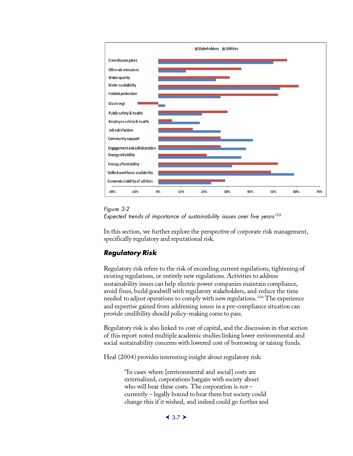

#### *Figure 3-2*

<span id="page-44-1"></span>

In this section, we further explore the perspective of corporate risk management, specifically regulatory and reputational risk.

### <span id="page-44-0"></span>*Regulatory Risk*

Regulatory risk refers to the risk of exceeding current regulations, tightening of existing regulations, or entirely new regulations. Activities to address sustainability issues can help electric power companies maintain compliance, avoid fines, build goodwill with regulatory stakeholders, and reduce the time needed to adjust operations to comply with new regulations. [104](#page-61-55) The experience and expertise gained from addressing issues in a pre-compliance situation can provide credibility should policy-making come to pass.

Regulatory risk is also linked to cost of capital, and the discussion in that section of this report noted multiple academic studies linking lower environmental and social sustainability concerns with lowered cost of borrowing or raising funds.

Heal (2004) provides interesting insight about regulatory risk:

"In cases where [environmental and social] costs are externalized, corporations bargain with society about who will bear these costs. The corporation is not – currently – legally bound to bear them but society could change this if it wished, and indeed could go further and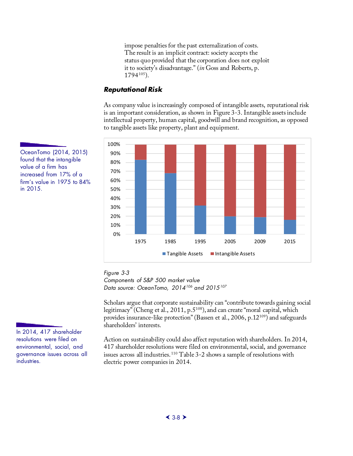impose penalties for the past externalization of costs. The result is an implicit contract: society accepts the status quo provided that the corporation does not exploit it to society's disadvantage." (*in* Goss and Roberts, p. 1794[105](#page-61-56)).

### <span id="page-45-0"></span>*Reputational Risk*

As company value is increasingly composed of intangible assets, reputational risk is an important consideration, as shown in Figure 3-3. Intangible assets include intellectual property, human capital, goodwill and brand recognition, as opposed to tangible assets like property, plant and equipment.



OceanTomo (2014, 2015) found that the intangible value of a firm has increased from 17% of a firm's value in 1975 to 84% in 2015.

<span id="page-45-1"></span>*Figure 3-3 Components of S&P 500 market value Data source: OceanTomo, 2014[106](#page-61-57) and 2015[107](#page-61-58)*

Scholars argue that corporate sustainability can "contribute towards gaining social legitimacy" (Cheng et al., 2011, p.5<sup>[108](#page-61-59)</sup>), and can create "moral capital, which provides insurance-like protection" (Bassen et al., 2006, p.12[109](#page-61-60)) and safeguards shareholders' interests.

Action on sustainability could also affect reputation with shareholders. In 2014, 417 shareholder resolutions were filed on environmental, social, and governance issues across all industries. [110](#page-61-9) Table 3-2 shows a sample of resolutions with electric power companies in 2014.

In 2014, 417 shareholder resolutions were filed on environmental, social, and governance issues across all industries.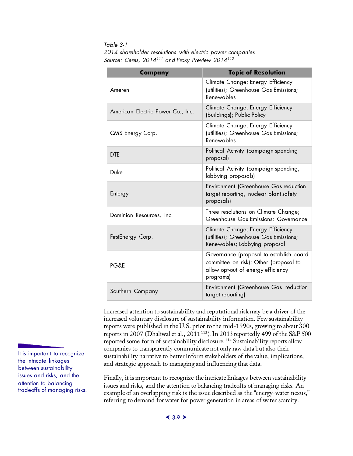<span id="page-46-0"></span>*Table 3-1 2014 shareholder resolutions with electric power companies Source: Ceres, 2014[111](#page-61-10) and Proxy Preview 2014[112](#page-61-11)*

| Company                           | <b>Topic of Resolution</b>                                                                                                           |
|-----------------------------------|--------------------------------------------------------------------------------------------------------------------------------------|
| Ameren                            | Climate Change; Energy Efficiency<br>(utilities); Greenhouse Gas Emissions;<br>Renewables                                            |
| American Electric Power Co., Inc. | Climate Change; Energy Efficiency<br>(buildings); Public Policy                                                                      |
| CMS Energy Corp.                  | Climate Change; Energy Efficiency<br>(utilities); Greenhouse Gas Emissions;<br>Renewables                                            |
| <b>DTE</b>                        | Political Activity (campaign spending<br>proposal)                                                                                   |
| Duke                              | Political Activity (campaign spending,<br>lobbying proposals)                                                                        |
| Entergy                           | <b>Environment (Greenhouse Gas reduction</b><br>target reporting, nuclear plant safety<br>proposals)                                 |
| Dominion Resources, Inc.          | Three resolutions on Climate Change;<br>Greenhouse Gas Emissions; Governance                                                         |
| FirstEnergy Corp.                 | Climate Change; Energy Efficiency<br>(utilities); Greenhouse Gas Emissions;<br>Renewables; Lobbying proposal                         |
| PG&E                              | Governance (proposal to establish board<br>committee on risk); Other (proposal to<br>allow opt-out of energy efficiency<br>programs) |
| Southern Company                  | Environment (Greenhouse Gas reduction<br>target reporting)                                                                           |

Increased attention to sustainability and reputational risk may be a driver of the increased voluntary disclosure of sustainability information. Few sustainability reports were published in the U.S. prior to the mid-1990s, growing to about 300 reports in 2007 (Dhaliwal et al., 2011<sup>[113](#page-61-61)</sup>). In 2013 reportedly 499 of the S&P 500 reported some form of sustainability disclosure. [114](#page-61-13) Sustainability reports allow companies to transparently communicate not only raw data but also their sustainability narrative to better inform stakeholders of the value, implications, and strategic approach to managing and influencing that data.

Finally, it is important to recognize the intricate linkages between sustainability issues and risks, and the attention to balancing tradeoffs of managing risks. An example of an overlapping risk is the issue described as the "energy-water nexus," referring to demand for water for power generation in areas of water scarcity.

It is important to recognize the intricate linkages between sustainability issues and risks, and the attention to balancing tradeoffs of managing risks.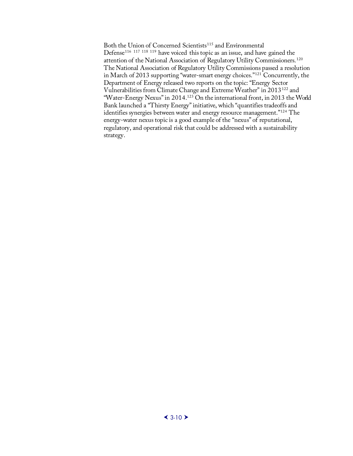Both the Union of Concerned Scientists $^{\rm 115}$  $^{\rm 115}$  $^{\rm 115}$  and Environmental Defense[116](#page-61-62) [117](#page-61-63) [118](#page-61-64) [119](#page-61-65) have voiced this topic as an issue, and have gained the attention of the National Association of Regulatory Utility Commissioners. [120](#page-61-9) The National Association of Regulatory Utility Commissions passed a resolution in March of 2013 supporting "water-smart energy choices.["121](#page-61-66) Concurrently, the Department of Energy released two reports on the topic: "Energy Sector Vulnerabilities from Climate Change and Extreme Weather" in 2013[122](#page-61-67) and "Water-Energy Nexus" in 2014.[123](#page-61-68) On the international front, in 2013 the World Bank launched a "Thirsty Energy" initiative, which "quantifies tradeoffs and identifies synergies between water and energy resource management."[124](#page-61-69) The energy-water nexus topic is a good example of the "nexus" of reputational, regulatory, and operational risk that could be addressed with a sustainability strategy.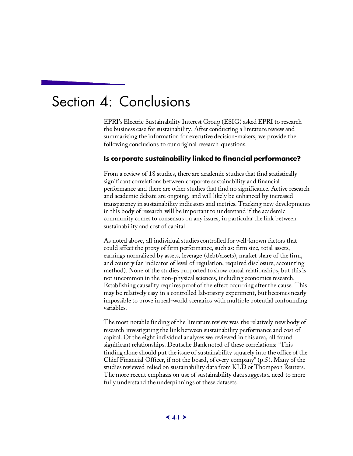## <span id="page-48-1"></span><span id="page-48-0"></span>Section 4: Conclusions

EPRI's Electric Sustainability Interest Group (ESIG) asked EPRI to research the business case for sustainability. After conducting a literature review and summarizing the information for executive decision-makers, we provide the following conclusions to our original research questions.

#### **Is corporate sustainability linked to financial performance?**

From a review of 18 studies, there are academic studies that find statistically significant correlations between corporate sustainability and financial performance and there are other studies that find no significance. Active research and academic debate are ongoing, and will likely be enhanced by increased transparency in sustainability indicators and metrics. Tracking new developments in this body of research will be important to understand if the academic community comes to consensus on any issues, in particular the link between sustainability and cost of capital.

As noted above, all individual studies controlled for well-known factors that could affect the proxy of firm performance, such as: firm size, total assets, earnings normalized by assets, leverage (debt/assets), market share of the firm, and country (an indicator of level of regulation, required disclosure, accounting method). None of the studies purported to show causal relationships, but this is not uncommon in the non-physical sciences, including economics research. Establishing causality requires proof of the effect occurring after the cause. This may be relatively easy in a controlled laboratory experiment, but becomes nearly impossible to prove in real-world scenarios with multiple potential confounding variables.

The most notable finding of the literature review was the relatively new body of research investigating the link between sustainability performance and cost of capital. Of the eight individual analyses we reviewed in this area, all found significant relationships. Deutsche Bank noted of these correlations: "This finding alone should put the issue of sustainability squarely into the office of the Chief Financial Officer, if not the board, of every company" (p.5). Many of the studies reviewed relied on sustainability data from KLD or Thompson Reuters. The more recent emphasis on use of sustainability data suggests a need to more fully understand the underpinnings of these datasets.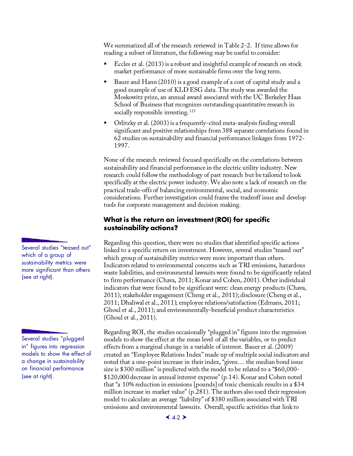We summarized all of the research reviewed in Table 2-2. If time allows for reading a subset of literature, the following may be useful to consider:

- Eccles et al. (2013) is a robust and insightful example of research on stock market performance of more sustainable firms over the long term.
- Bauer and Hann (2010) is a good example of a cost of capital study and a good example of use of KLD ESG data. The study was awarded the Moskowitz prize, an annual award associated with the UC Berkeley Haas School of Business that recognizes outstanding quantitative research in socially responsible investing.<sup>[125](#page-61-70)</sup>
- Orlitzky et al. (2003) is a frequently-cited meta-analysis finding overall significant and positive relationships from 388 separate correlations found in 62 studies on sustainability and financial performance linkages from 1972- 1997.

None of the research reviewed focused specifically on the correlations between sustainability and financial performance in the electric utility industry. New research could follow the methodology of past research but be tailored to look specifically at the electric power industry. We also note a lack of research on the practical trade-offs of balancing environmental, social, and economic considerations. Further investigation could frame the tradeoff issue and develop tools for corporate management and decision making.

#### **What is the return on investment (ROI) for specific sustainability actions?**

Regarding this question, there were no studies that identified specific actions linked to a specific return on investment. However, several studies "teased out" which group of sustainability metrics were more important than others. Indicators related to environmental concerns such as TRI emissions, hazardous waste liabilities, and environmental lawsuits were found to be significantly related to firm performance (Chava, 2011; Konar and Cohen, 2001). Other individual indicators that were found to be significant were: clean energy products (Chava, 2011); stakeholder engagement (Cheng et al., 2011); disclosure (Cheng et al., 2011; Dhaliwal et al., 2011); employee relations/satisfaction (Edmans, 2011; Ghoul et al., 2011); and environmentally-beneficial product characteristics (Ghoul et al., 2011).

Regarding ROI, the studies occasionally "plugged in" figures into the regression models to show the effect at the mean level of all the variables, or to predict effects from a marginal change in a variable of interest. Bauer et al. (2009) created an "Employee Relations Index" made up of multiple social indicators and noted that a one-point increase in their index, "given… the median bond issue size is \$300 million" is predicted with the model to be related to a "\$60,000- \$120,000 decrease in annual interest expense" (p.14). Konar and Cohen noted that "a 10% reduction in emissions [pounds] of toxic chemicals results in a \$34 million increase in market value" (p.281). The authors also used their regression model to calculate an average "liability" of \$380 million associated with TRI emissions and environmental lawsuits. Overall, specific activities that link to

<span id="page-49-0"></span>Several studies "teased out" which of a group of sustainability metrics were more significant than others (see at right).

Several studies "plugged in" figures into regression models to show the effect of a change in sustainability on financial performance (see at right).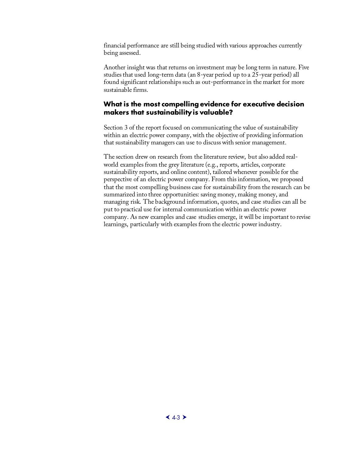financial performance are still being studied with various approaches currently being assessed.

Another insight was that returns on investment may be long term in nature. Five studies that used long-term data (an 8-year period up to a 25-year period) all found significant relationships such as out-performance in the market for more sustainable firms.

#### <span id="page-50-0"></span>**What is the most compelling evidence for executive decision makers that sustainability is valuable?**

Section 3 of the report focused on communicating the value of sustainability within an electric power company, with the objective of providing information that sustainability managers can use to discuss with senior management.

The section drew on research from the literature review, but also added realworld examples from the grey literature (e.g., reports, articles, corporate sustainability reports, and online content), tailored whenever possible for the perspective of an electric power company. From this information, we proposed that the most compelling business case for sustainability from the research can be summarized into three opportunities: saving money, making money, and managing risk. The background information, quotes, and case studies can all be put to practical use for internal communication within an electric power company. As new examples and case studies emerge, it will be important to revise learnings, particularly with examples from the electric power industry.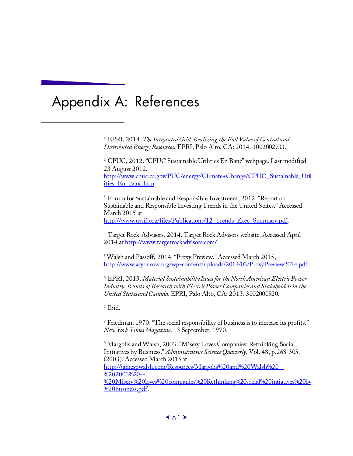# <span id="page-52-0"></span>Appendix A: References

j

<sup>1</sup> EPRI, 2014. *The Integrated Grid: Realizing the Full Value of Central and Distributed Energy Resources*. EPRI, Palo Alto, CA: 2014. 3002002733.

<sup>2</sup> CPUC, 2012. "CPUC Sustainable Utilities En Banc" webpage. Last modified 23 August 2012. [http://www.cpuc.ca.gov/PUC/energy/Climate+Change/CPUC\\_Sustainable\\_Util](http://www.cpuc.ca.gov/PUC/energy/Climate+Change/CPUC_Sustainable_Utilities_En_Banc.htm) [ities\\_En\\_Banc.htm](http://www.cpuc.ca.gov/PUC/energy/Climate+Change/CPUC_Sustainable_Utilities_En_Banc.htm) 

<sup>3</sup> Forum for Sustainable and Responsible Investment, 2012. "Report on Sustainable and Responsible Investing Trends in the United States." Accessed March 2015 at http://www.ussif.org/files/Publications/12 Trends Exec Summary.pdf.

<sup>4</sup> Target Rock Advisors, 2014. Target Rock Advisors website. Accessed April 2014 a[t http://www.targetrockadvisors.com/](http://www.targetrockadvisors.com/)

5 Walsh and Passoff, 2014. "Proxy Preview." Accessed March 2015, <http://www.asyousow.org/wp-content/uploads/2014/03/ProxyPreview2014.pdf>

<sup>6</sup> EPRI, 2013. *Material Sustainability Issues for the North American Electric Power Industry: Results of Research with Electric Power Companies and Stakeholders in the United States and Canada.* EPRI, Palo Alto, CA: 2013. 3002000920.

<sup>7</sup> Ibid.

<sup>8</sup> Friedman, 1970. "The social responsibility of business is to increase its profits." *New York Times Magazine*, 13 September, 1970.

<sup>9</sup> Margolis and Walsh, 2003. "Misery Loves Companies: Rethinking Social Initiatives by Business," *Administrative Science Quarterly*. Vol. 48, p.268-305, (2003). Accessed March 2015 at [http://jamespwalsh.com/Resources/Margolis%20and%20Walsh%20--](http://jamespwalsh.com/Resources/Margolis%20and%20Walsh%20--%202003%20--%20Misery%20loves%20companies%20Rethinking%20social%20intiatives%20by%20business.pdf) %202003%20-- [%20Misery%20loves%20companies%20Rethinking%20social%20intiatives%20by](http://jamespwalsh.com/Resources/Margolis%20and%20Walsh%20--%202003%20--%20Misery%20loves%20companies%20Rethinking%20social%20intiatives%20by%20business.pdf) [%20business.pdf](http://jamespwalsh.com/Resources/Margolis%20and%20Walsh%20--%202003%20--%20Misery%20loves%20companies%20Rethinking%20social%20intiatives%20by%20business.pdf).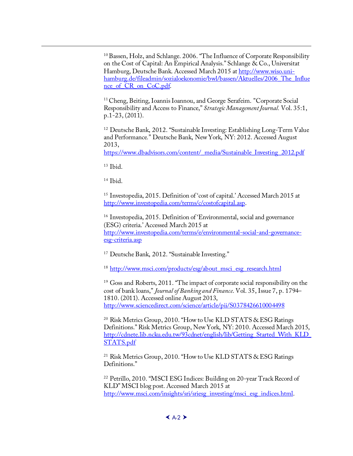<sup>10</sup> Bassen, Holz, and Schlange. 2006. "The Influence of Corporate Responsibility on the Cost of Capital: An Empirical Analysis." Schlange & Co., Universitat Hamburg, Deutsche Bank. Accessed March 2015 a[t http://www.wiso.uni](http://www.wiso.uni-hamburg.de/fileadmin/sozialoekonomie/bwl/bassen/Aktuelles/2006_The_Influence_of_CR_on_CoC.pdf)[hamburg.de/fileadmin/sozialoekonomie/bwl/bassen/Aktuelles/2006\\_The\\_Influe](http://www.wiso.uni-hamburg.de/fileadmin/sozialoekonomie/bwl/bassen/Aktuelles/2006_The_Influence_of_CR_on_CoC.pdf) nce of CR on CoC.pdf.

<sup>11</sup> Cheng, Beiting, Ioannis Ioannou, and George Serafeim. "Corporate Social Responsibility and Access to Finance," *Strategic Management Journal.* Vol. 35:1, p.1-23, (2011).

<sup>12</sup> Deutsche Bank, 2012. "Sustainable Investing: Establishing Long-Term Value and Performance*.*" Deutsche Bank, New York, NY: 2012. Accessed August 2013,

[https://www.dbadvisors.com/content/\\_media/Sustainable\\_Investing\\_2012.pdf](https://www.dbadvisors.com/content/_media/Sustainable_Investing_2012.pdf)

<span id="page-53-1"></span> $13$  Ibid.

<span id="page-53-0"></span>j

<sup>14</sup> Ibid.

<span id="page-53-2"></span><sup>15</sup> Investopedia, 2015. Definition of 'cost of capital.' Accessed March 2015 at [http://www.investopedia.com/terms/c/costofcapital.asp.](http://www.investopedia.com/terms/c/costofcapital.asp)

<span id="page-53-3"></span><sup>16</sup> Investopedia, 2015. Definition of 'Environmental, social and governance (ESG) criteria.' Accessed March 2015 at [http://www.investopedia.com/terms/e/environmental-social-and-governance](http://www.investopedia.com/terms/e/environmental-social-and-governance-esg-criteria.asp)[esg-criteria.asp](http://www.investopedia.com/terms/e/environmental-social-and-governance-esg-criteria.asp) 

<span id="page-53-4"></span><sup>17</sup> Deutsche Bank, 2012. "Sustainable Investing."

<sup>18</sup> [http://www.msci.com/products/esg/about\\_msci\\_esg\\_research.html](http://www.msci.com/products/esg/about_msci_esg_research.html)

<sup>19</sup> Goss and Roberts, 2011. "The impact of corporate social responsibility on the cost of bank loans," *Journal of Banking and Finance*. Vol. 35, Issue 7, p. 1794– 1810. (2011). Accessed online August 2013, <http://www.sciencedirect.com/science/article/pii/S0378426610004498>

<sup>20</sup> Risk Metrics Group, 2010. "How to Use KLD STATS & ESG Ratings Definitions." Risk Metrics Group, New York, NY: 2010. Accessed March 2015, [http://cdnete.lib.ncku.edu.tw/93cdnet/english/lib/Getting\\_Started\\_With\\_KLD\\_](http://cdnete.lib.ncku.edu.tw/93cdnet/english/lib/Getting_Started_With_KLD_STATS.pdf) [STATS.pdf](http://cdnete.lib.ncku.edu.tw/93cdnet/english/lib/Getting_Started_With_KLD_STATS.pdf)

<sup>21</sup> Risk Metrics Group, 2010. "How to Use KLD STATS & ESG Ratings Definitions."

<sup>22</sup> Petrillo, 2010. "MSCI ESG Indices: Building on 20-year Track Record of KLD" MSCI blog post. Accessed March 2015 at [http://www.msci.com/insights/sri/sriesg\\_investing/msci\\_esg\\_indices.html](http://www.msci.com/insights/sri/sriesg_investing/msci_esg_indices.html).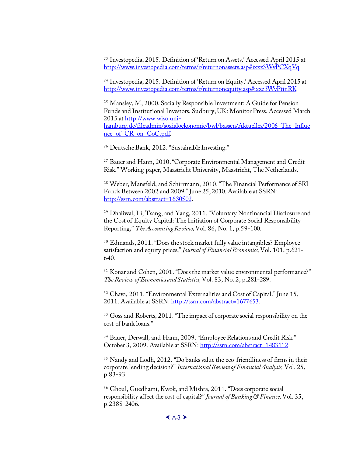<sup>23</sup> Investopedia, 2015. Definition of 'Return on Assets.' Accessed April 2015 at [http://www.investopedia.com/terms/r/returnonassets.asp#ixzz3WvPCXqVq](http://www.investopedia.com/terms/r/returnonequity.asp%23ixzz3WvPtinRK)

<sup>24</sup> Investopedia, 2015. Definition of 'Return on Equity.' Accessed April 2015 at http://[www.investopedia.com/terms/r/returnonequity.asp#ixzz3WvPtinRK](http://www.wiso.uni-hamburg.de/fileadmin/sozialoekonomie/bwl/bassen/Aktuelles/2006_The_Influence_of_CR_on_CoC.pdf)

<sup>25</sup> Mansley, M, 2000. Socially Responsible Investment: A Guide for Pension [Funds and Institutional In](http://www.wiso.uni-hamburg.de/fileadmin/sozialoekonomie/bwl/bassen/Aktuelles/2006_The_Influence_of_CR_on_CoC.pdf)vestors. Sudbury, UK: Monitor Press. Accessed March 2015 at http://www.wiso.unihamburg.de/fileadmin/sozialoekonomie/bwl/bassen/Aktuelles/2006\_The\_Influe nce of CR on CoC.pdf.

<sup>26</sup> Deutsche Bank, 2012. "Sustainable Investing."

j

<sup>27</sup> Bauer and Hann, 2010. "Corporate Environmental Management and Credit Risk." Working paper, Maastricht University, Maastricht, The Netherlands.

<sup>28</sup> [Weber, Mansfeld, and Schirrma](http://ssrn.com/abstract=1630502)nn, 2010. "The Financial Performance of SRI Funds Between 2002 and 2009." June 25, 2010. Available at SSRN: http://ssrn.com/abstract=1630502.

<sup>29</sup> Dhaliwal, Li, Tsang, and Yang, 2011. "Voluntary Nonfinancial Disclosure and the Cost of Equity Capital: The Initiation of Corporate Social Responsibility Reporting," *The Accounting Review,* Vol. 86, No. 1, p.59-100.

<sup>30</sup> Edmands, 2011. "Does the stock market fully value intangibles? Employee satisfaction and equity prices," *Journal of Financial Economics,* Vol. 101, p.621- 640.

<span id="page-54-0"></span><sup>31</sup> Konar and Cohen, 2001. "Does the market value environmental performance?" *The Review of Economics and Statistics,* [Vol. 83, No. 2, p.281-](http://ssrn.com/abstract=1677653)289.

<sup>32</sup> Chava, 2011. "Environmental Externalities and Cost of Capital." June 15, 2011. Available at SSRN: http://ssrn.com/abstract=1677653.

<span id="page-54-1"></span><sup>33</sup> Goss and Roberts, 2011. "The im[pact of corporate social responsibility](http://ssrn.com/abstract=1483112) on the cost of bank loans."

<sup>34</sup> Bauer, Derwall, and Hann, 2009. "Employee Relations and Credit Risk." October 3, 2009. Available at SSRN: http://ssrn.com/abstract=1483112

<sup>35</sup> Nandy and Lodh, 2012. "Do banks value the eco-friendliness of firms in their corporate lending decision?" *International Review of Financial Analysis,* Vol. 25, p.83-93.

<sup>36</sup> Ghoul, Guedhami, Kwok, and Mishra, 2011. "Does corporate social responsibility affect the cost of capital?" *Journal of Banking & Finance,* Vol. 35, p.2388-2406.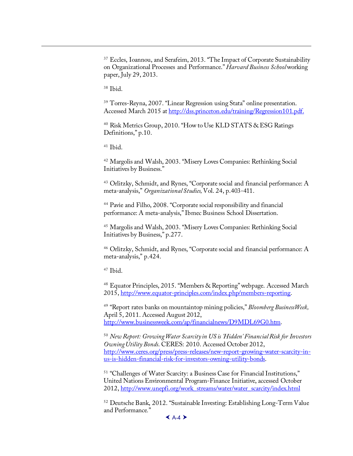<sup>37</sup> Eccles, Ioannou, and Serafeim, 2013. "The Impact of Corporate Sustainability on Organizational Processes and Performance." *Harvard Business School* working paper, July 29, 2013.

<sup>38</sup> Ibid.

<span id="page-55-2"></span><span id="page-55-1"></span>j

<sup>39</sup> Torres-Reyna, 2007. "Linear Regression using Stata" online presentation. Accessed March 2015 at http://dss.princeton.edu/training/Regression101.pdf.

<sup>40</sup> Risk Metrics Group, 2010. "How to Use KLD STATS & ESG Ratings Definitions," p.10.

<sup>41</sup> Ibid.

<sup>42</sup> Margolis and Walsh, 2003. "Misery Loves Companies: Rethinking Social Initiatives by Business."

<sup>43</sup> Orlitzky, Schmidt, and Rynes, "Corporate social and financial performance: A meta-analysis," *Organizational Studies,* Vol. 24, p.403-411.

<sup>44</sup> Pavie and Filho, 2008. "Corporate social responsibility and financial performance: A meta-analysis," Ibmec Business School Dissertation.

<sup>45</sup> Margolis and Walsh, 2003. "Misery Loves Companies: Rethinking Social Initiatives by Business," p.277.

<sup>46</sup> Orlitzky, Schmidt, and Rynes, "Corporate social and financial performance: A meta[-analysis," p.424.](http://www.equator-principles.com/index.php/members-reporting)

<sup>47</sup> Ibid.

<sup>48</sup> Equator Principles, 2015. "Members & Reporting" webpage. Accessed March [2015, http://www.equator-principles.com/index.php/members-report](http://www.businessweek.com/ap/financialnews/D9MDL69G0.htm)ing.

<sup>49</sup> "Report rates banks on mountaintop mining policies," *Bloomberg BusinessWeek,*  April 5, 2011. Accessed August 2012, [http://www.businessweek.com/ap/financialnews/D9MDL69G0.htm.](http://www.ceres.org/press/press-releases/new-report-growing-water-scarcity-in-us-is-hidden-financial-risk-for-investors-owning-utility-bonds) 

<span id="page-55-0"></span><sup>50</sup> *[New Report: Growing Water Scarcity in US is 'Hidden' Financia](http://www.ceres.org/press/press-releases/new-report-growing-water-scarcity-in-us-is-hidden-financial-risk-for-investors-owning-utility-bonds)l Risk for Investors Owning Utility Bonds*. CERES: 2010. Accessed October 2012, http://www.ceres.org/press/press-releases/new-report-growing-water-scarcity-inus-is[-hidden-financial-risk-for-investors-owning-utility-bonds.](http://www.unepfi.org/work_streams/water/water_scarcity/index.html) 

<sup>51</sup> "Challenges of Water Scarcity: a Business Case for Financial Institutions," United Nations Environmental Program-Finance Initiative, accessed October 2012, http://www.unepfi.org/work\_streams/water/water\_scarcity/index.html

<sup>52</sup> Deutsche Bank, 2012. "Sustainable Investing: Establishing Long-Term Value and Performance*.*"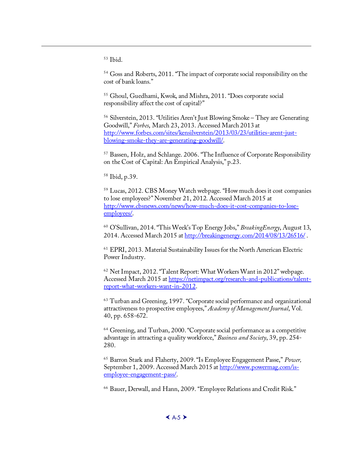<sup>53</sup> Ibid.

<span id="page-56-14"></span><span id="page-56-13"></span><span id="page-56-12"></span><span id="page-56-11"></span>j

<sup>54</sup> Goss and Roberts, 2011. "The impact of corporate social responsibility on the cost of bank loans."

<sup>55</sup> [Ghoul, Guedhami, Kwok, and Mishra, 2011. "Does corporate social](http://www.forbes.com/sites/kensilverstein/2013/03/23/utilities-arent-just-blowing-smoke-they-are-generating-goodwill/)  [responsibility affect the cost of capital?"](http://www.forbes.com/sites/kensilverstein/2013/03/23/utilities-arent-just-blowing-smoke-they-are-generating-goodwill/)

<sup>56</sup> Silverstein, 2013. "Utilities Aren't Just Blowing Smoke – They are Generating Goodwill," *Forbes*, March 23, 2013. Accessed March 2013 at http://www.forbes.com/sites/kensilverstein/2013/03/23/utilities-arent-justblowing-smoke-they-are-generating-goodwill/.

<sup>57</sup> Bassen, Holz, and Schlange. 2006. "The Influence of Corporate Responsibility [on the Cost of Capital: An Empirical Analysis," p.23.](http://www.cbsnews.com/news/how-much-does-it-cost-companies-to-lose-employees/)

<span id="page-56-1"></span><span id="page-56-0"></span><sup>58</sup> [Ibid, p.39](http://www.cbsnews.com/news/how-much-does-it-cost-companies-to-lose-employees/).

<span id="page-56-2"></span><sup>59</sup> Lucas, 2012. CBS Money Watch webpage. "How much does it cost companies to lose employees?" November [21, 2012. Accessed March 2015 at](http://breakingenergy.com/2014/08/13/26516/)  http://www.cbsnews.com/news/how-much-does-it-cost-companies-to-loseemployees/.

<span id="page-56-3"></span><sup>60</sup> O'Sullivan, 2014. "This Week's Top Energy Jobs," *BreakingEnergy*, August 13, 2014. Accessed March [2015 at http://breakingenergy.com/2014/08/13/26516/ .](https://netimpact.org/research-and-publications/talent-report-what-workers-want-in-2012) 

<span id="page-56-4"></span><sup>61</sup> [EPRI, 2013. Material Sustainabil](https://netimpact.org/research-and-publications/talent-report-what-workers-want-in-2012)ity Issues for the North American Electric Power Industry.

<span id="page-56-6"></span><span id="page-56-5"></span><sup>62</sup> Net Impact, 2012. "Talent Report: What Workers Want in 2012" webpage. Accessed March 2015 at https://netimpact.org/research-and-publications/talentreport-what-workers-want-in-2012.

<sup>63</sup> Turban and Greening, 1997. "Corporate social performance and organizational attractiveness to prospective employees," *Academy of Management Journal*, Vol. 40, pp. 658-672.

<span id="page-56-7"></span><sup>64</sup> Greening, and Turban, 2000. "Corporate [social performance as a competitive](http://www.powermag.com/is-employee-engagement-pass/)  [advantage in attracting a qual](http://www.powermag.com/is-employee-engagement-pass/)ity workforce," *Business and Society*, 39, pp. 254- 280.

<span id="page-56-8"></span><sup>65</sup> Barron Stark and Flaherty, 2009. "Is Employee Engagement Passe," *Power,*  September 1, 2009. Accessed March 2015 at http://www.powermag.com/isemployee-engagement-pass/.

<span id="page-56-10"></span><span id="page-56-9"></span><sup>66</sup> Bauer, Derwall, and Hann, 2009. "Employee Relations and Credit Risk."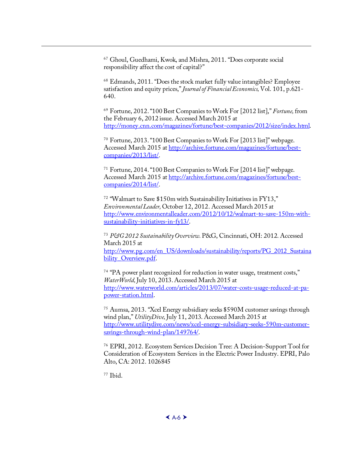<sup>67</sup> Ghoul, Guedhami, Kwok, and Mishra, 2011. "Does corporate social responsibility affect the cost of capital?"

<sup>68</sup> [Edmands, 2011. "Does the stock market fully value intangibles? Employee](http://money.cnn.com/magazines/fortune/best-companies/2012/size/index.html)  satisfaction and equity prices," *[Journal of Financial Economics,](http://archive.fortune.com/magazines/fortune/best-companies/2013/list/)* Vol. 101, p.621- 640.

<sup>69</sup> [Fortune, 2012. "100](http://archive.fortune.com/magazines/fortune/best-companies/2013/list/) Best Companies to Work For [2012 list]," *Fortune,* from the February 6, 2012 issue. Accessed March 2015 at http://money.cnn.com/[magazines/fortune/best-companies/2012/size/index.html.](http://archive.fortune.com/magazines/fortune/best-companies/2014/list/) 

<sup>70</sup> [Fortune, 2013. "100](http://archive.fortune.com/magazines/fortune/best-companies/2014/list/) Best Companies to Work For [2013 list]" webpage. Accessed March 2015 at http://archive.fortune.com/magazines/fortune/best[companies/2013/list/.](http://www.environmentalleader.com/2012/10/12/walmart-to-save-150m-with-sustainability-initiatives-in-fy13/) 

<span id="page-57-0"></span><sup>71</sup> [Fortune, 2014. "100 Best Comp](http://www.environmentalleader.com/2012/10/12/walmart-to-save-150m-with-sustainability-initiatives-in-fy13/)anies to Work For [2014 list]" webpage. Accessed March 2015 at http://archive.fortune.com/magazines/fortune/bestcompanies/2014/list/.

<span id="page-57-1"></span><sup>72</sup> ["Walmart to Save \\$150m with Sustainability Initiatives in FY13,"](http://www.pg.com/en_US/downloads/sustainability/reports/PG_2012_Sustainability_Overview.pdf)  *[Environmental Leade](http://www.pg.com/en_US/downloads/sustainability/reports/PG_2012_Sustainability_Overview.pdf)r,* October 12, 2012. Accessed March 2015 at http://www.environmentalleader.com/2012/10/12/walmart-to-save-150m-withsustainability-initiatives-in-fy13/.

<span id="page-57-3"></span><span id="page-57-2"></span><sup>73</sup> *P&G 2012 Sustainability Overview.* [P&G, Cincinnati, OH: 2012. Accessed](http://www.waterworld.com/articles/2013/07/water-costs-usage-reduced-at-pa-power-station.html)  [March 2015 at](http://www.waterworld.com/articles/2013/07/water-costs-usage-reduced-at-pa-power-station.html)  http://www.pg.com/en\_US/downloads/sustainability/reports/PG\_2012\_Sustaina bility\_Overview.pdf.

<span id="page-57-4"></span><sup>74</sup> "PA power plant recognized for reduction in water usage, treatment costs," *WaterWorld,* [July 10, 2013. Accessed](http://www.utilitydive.com/news/xcel-energy-subsidiary-seeks-590m-customer-savings-through-wind-plan/149764/) March 2015 at http://www.waterworld.com/articles/2013/07/water-costs-usage-reduced-at-papower-station.html.

<span id="page-57-6"></span><span id="page-57-5"></span><sup>75</sup> Aumsa, 2013. "Xcel Energy subsidiary seeks \$590M customer savings through wind plan," *UtilityDive,* July 11, 2013. Accessed March 2015 at http://www.utilitydive.com/news/xcel-energy-subsidiary-seeks-590m-customersavings-through-wind-plan/149764/.

<span id="page-57-7"></span><sup>76</sup> EPRI, 2012. Ecosystem Services Decision Tree: A Decision-Support Tool for Consideration of Ecosystem Services in the Electric Power Industry. EPRI, Palo [Alto, CA: 2012. 1026845](http://citeseerx.ist.psu.edu/viewdoc/download?doi=10.1.1.196.915&rep=rep1&type=pdf)

<span id="page-57-8"></span><sup>77</sup> [Ibid.](http://citeseerx.ist.psu.edu/viewdoc/download?doi=10.1.1.196.915&rep=rep1&type=pdf)

j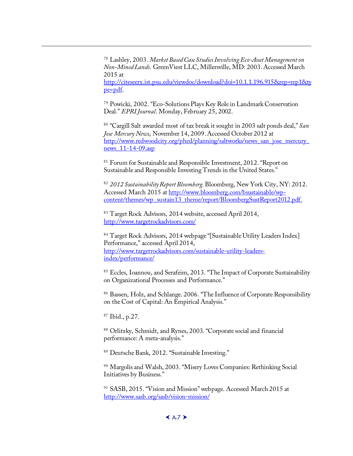<sup>78</sup> Lashley, 2003. *[Market Based Case Studies Involving Eco-Asset Management on](http://www.redwoodcity.org/phed/planning/saltworks/news_san_jose_mercury_news_11-14-09.asp)  [Non-Mined Lands](http://www.redwoodcity.org/phed/planning/saltworks/news_san_jose_mercury_news_11-14-09.asp)*. GreenViest LLC, Millersville, MD: 2003. Accessed March 2015 at http://citeseerx.ist.psu.edu/viewdoc/download?doi=10.1.1.196.915&rep=rep1&ty pe=pdf.

<sup>79</sup> Powicki, 2002. "Eco-[Solutions Plays Key Role in Landmark Conservation](http://www.bloomberg.com/bsustainable/wp-content/themes/wp_sustain13_theme/report/BloombergSustReport2012.pdf)  Deal." *EPRI Journal*[. Monday, February 25, 2002.](http://www.bloomberg.com/bsustainable/wp-content/themes/wp_sustain13_theme/report/BloombergSustReport2012.pdf)

<sup>80</sup> "Cargill Salt awarded most of tax break it sought in 2003 salt ponds deal," *San Jose Mercury News*, November 14, 2009. Accessed October 2012 at [http://www.redwoodcity.org/phed/p](http://www.targetrockadvisors.com/)lanning/saltworks/news\_san\_jose\_mercury\_ news 11-14-09.asp

<sup>81</sup> Forum for Sustainable and Responsible Investment, 2012. "Report on [Sustainable and Resp](http://www.targetrockadvisors.com/sustainable-utility-leaders-index/performance/)onsible Investing Trends in the United States."

<sup>82</sup> *2012 Sustainability Report Bloomberg.* Bloomberg, New York City, NY: 2012. Accessed March 2015 at http://www.bloomberg.com/bsustainable/wpcontent/themes/wp\_sustain13\_theme/report/BloombergSustReport2012.pdf.

<sup>83</sup> Target Rock Advisors, 2014 website, accessed April 2014, http://www.targetrockadvisors.com/

<sup>84</sup> Target Rock Advisors, 2014 webpage "[Sustainable Utility Leaders Index] Performance," accessed April 2014, http://www.targetrockadvisors.com/sustainable-utility-leadersindex/performance/

<sup>85</sup> Eccles, Ioannou, and Serafeim, 2013. "The Impact of Corporate Sustainability on Organizational Processes and Performance."

86 Bassen, Holz, and Schlange. 2006. "The Influence of Corporate Responsibility on the Cost of Capital: An Empirical Analysis."

<sup>87</sup> [Ibid., p.27.](http://www.sasb.org/sasb/vision-mission/)

<span id="page-58-2"></span><span id="page-58-1"></span>j

88 Orlitzky, Schmidt, and Rynes, 2003. "Corporate social and financial performance: [A meta-analysis."](http://www.bloomberg.com/news/2014-05-01/schapiro-and-bloomberg-take-helm-at-sustainability-accounting-standards-board-.html)

<sup>89</sup> [Deutsche Bank, 2012. "Sustainable Investing."](http://www.bloomberg.com/news/2014-05-01/schapiro-and-bloomberg-take-helm-at-sustainability-accounting-standards-board-.html)

<sup>90</sup> [Margolis and Walsh, 2003. "Misery Loves Com](http://www.sasb.org/standards/status-standards/)panies: Rethinking Social Initiatives by Business."

<span id="page-58-0"></span><sup>91</sup> SASB, 2015. "Vision and Mission" webpage. Accessed March 2015 at http://www.sasb.org/sasb/vision-mission/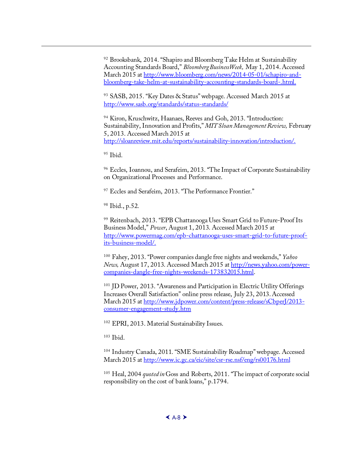<sup>92</sup> Brooksbank, 2014. "Shapiro and Bloomberg Take Helm at Sustainability Accounting Standards Board," *Bloomberg BusinessWeek,* May 1, 2014. Accessed March 2015 at http://www.bloomberg.com/news/2014-05-01/schapiro-andbloomberg-take-helm-at-sustainability-accounting-standards-board-.html.

<sup>93</sup> SASB, 2015. "Key Dates & Status" webpage. Accessed March 2015 at http://www.sasb.org/standards/status-standards/

<sup>94</sup> Kiron, Kruschwitz, Haanaes, Reeves and Goh, 2013. "Introduction: Sustainability, Innovation and Profits," *MIT Sloan Management Review,* February 5, 2013. Accessed March 2015 at [http://sloanreview.mit.edu/reports/sustainability-innovation/introduction/.](http://www.powermag.com/epb-chattanooga-uses-smart-grid-to-future-proof-its-business-model/) 

 $95$  Ibid.

<span id="page-59-1"></span><span id="page-59-0"></span>j

<sup>96</sup> Eccles, Ioannou, and Serafeim, 2013. "The I[mpact of Corporate Sustainability](http://news.yahoo.com/power-companies-dangle-free-nights-weekends-173832015.html)  [on Organizational Processes and Performance.](http://news.yahoo.com/power-companies-dangle-free-nights-weekends-173832015.html)

<sup>97</sup> Eccles and Serafeim, 2013. "The Performance Frontier."

<sup>98</sup> Ibid., p.52.

<sup>99</sup> [Reitenbach, 2013. "EPB Chatta](http://www.jdpower.com/content/press-release/sCbperJ/2013-consumer-engagement-study.htm)nooga Uses Smart Grid to Future-Proof Its Business Model," *Power*, August 1, 2013. Accessed March 2015 at http://www.powermag.com/epb-chattanooga-uses-smart-grid-to-future-proofits-business-model/.

<sup>100</sup> Fahey, 2013. "Power companies dangle free nights and weekends," *Yahoo News,* August [17, 2013. Accessed March 2015 at http://news.yahoo.com/](http://www.ic.gc.ca/eic/site/csr-rse.nsf/eng/rs00176.html)powercompanies-dangle-free-nights-weekends-173832015.html.

<sup>101</sup> JD Power, 2013. "Awareness and Participation in Electric Utility Offerings Increases Overall Satisfaction" online press release, July 23, 2013. Accessed March 2015 at http://www.jdpower.com/content/press-release/sCbperJ/2013 [consumer-engagement-study.htm](http://www.oceantomo.com/media/newsreleases/Intangible-Asset-Market-Value-Study-Release) 

<sup>102</sup> [EPRI, 2013. Mate](http://www.oceantomo.com/media/newsreleases/Intangible-Asset-Market-Value-Study-Release)rial Sustainability Issues.

 $103$  Ibid.

<sup>104</sup> [Industry Canada, 2011. "SME Sustainability Roadmap" webpage. Accessed](http://www.oceantomo.com/blog/2015/03-05-ocean-tomo-2015-intangible-asset-market-value/)  [March 2015 at http:](http://www.oceantomo.com/blog/2015/03-05-ocean-tomo-2015-intangible-asset-market-value/)//www.ic.gc.ca/eic/site/csr-rse.nsf/eng/rs00176.html

<sup>105</sup> Heal, 2004 *quoted in* Goss and Roberts, 2011. "The impact of corporate social responsibility on the cost of bank loans," p.1794.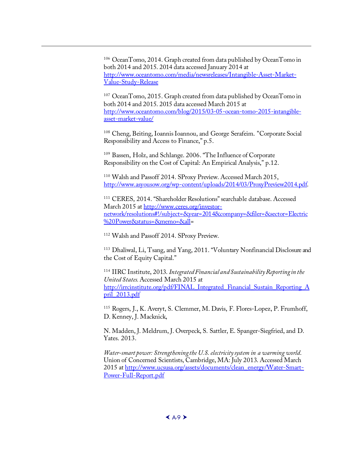<sup>106</sup> OceanTomo, 2014. Graph created from data published by OceanTomo in [both 2014 and 2015. 2014 data accessed January 2014 at](http://www.asyousow.org/wp-content/uploads/2014/03/ProxyPreview2014.pdf)  http://www.oceantomo.com/media/newsreleases/Intangible-Asset-Market-Value-Study-[Release](http://www.ceres.org/investor-network/resolutions%23!/subject=&year=2014&company=&filer=§or=Electric%20Power&status=&memo=&all)

<sup>107</sup> [OceanTomo, 2015. Graph created from data published by OceanTomo in](http://www.ceres.org/investor-network/resolutions%23!/subject=&year=2014&company=&filer=§or=Electric%20Power&status=&memo=&all)  [both 2014 and 2015. 2015 data ac](http://www.ceres.org/investor-network/resolutions%23!/subject=&year=2014&company=&filer=§or=Electric%20Power&status=&memo=&all)cessed March 2015 at http://www.oceantomo.com/blog/2015/03-05-ocean-tomo-2015-intangibleasset-market-value/

<sup>108</sup> Cheng, Beiting, Ioannis Ioannou, and George Serafeim. "Corporate Social Responsibility and Access to Finance," p.5.

<span id="page-60-1"></span><sup>109</sup> Bassen, Holz, and Schlange. 2006. "The Influence of Corporate Responsibility on [the Cost of Capital: An Empirical Analysis," p.12.](http://irrcinstitute.org/pdf/FINAL_Integrated_Financial_Sustain_Reporting_April_2013.pdf)

<span id="page-60-2"></span><sup>110</sup> [Walsh and](http://irrcinstitute.org/pdf/FINAL_Integrated_Financial_Sustain_Reporting_April_2013.pdf) Passoff 2014. SProxy Preview. Accessed March 2015, http://www.asyousow.org/wp-content/uploads/2014/03/ProxyPreview2014.pdf.

<span id="page-60-3"></span><sup>111</sup> CERES, 2014. "Shareholder Resolutions" searchable database. Accessed March 2015 at http://www.ceres.org/investornetwork/resolutions#!/subject=&year=2014&company=&filer=&sector=Electric %20Power&status=&memo=&all=

<sup>112</sup> Walsh and Passoff 2014. SProxy Preview.

<span id="page-60-0"></span>j

<sup>113</sup> Dh[aliwal, Li, Tsang, and Yang, 2011. "Voluntary Nonfinancial Disclosure and](http://www.ucsusa.org/assets/documents/clean_energy/Water-Smart-Power-Full-Report.pdf)  [the Cost of Equity Capi](http://www.ucsusa.org/assets/documents/clean_energy/Water-Smart-Power-Full-Report.pdf)tal."

<sup>114</sup> IIRC Institute, 2013. *Integrated Financial and Sustainability Reporting in the United States.* Accessed March 2015 at [http://irrcinstitute.org/pdf/FINAL\\_Integrated\\_Financial\\_Sustain\\_Reporting\\_A](http://blogs.edf.org/energyexchange/2014/07/24/new-graphics-from-doe-illustrate-the-energy-water-land-nexus/) pril<sup>2013.pdf</sup>

<sup>115</sup> Rogers, J., K. Averyt, S. Clemmer, M. Davis, F. Flores-Lopez, P. Frumhoff, [D. Kenney, J. Macknick,](http://www.forbes.com/sites/edfenergyexchange/2013/08/22/energy-water-nexus-spans-across-western-united-states/)

[N. Madden, J. Meldrum, J. Overpeck, S. Sa](http://www.forbes.com/sites/edfenergyexchange/2013/08/22/energy-water-nexus-spans-across-western-united-states/)ttler, E. Spanger-Siegfried, and D. Yates. 2013.

*Water-smart power: Strengthening the U.S. electricity system in a warming world*. [Union of Concerned Scientists, Cambridge, MA: July 2013. Accessed March](http://www.greenbiz.com/blog/2013/08/06/why-energy-water-policies-mix) 2015 at http://www.ucsusa.org/assets/documents/clean\_energy/Water-Smart-Power-Full-Report.pdf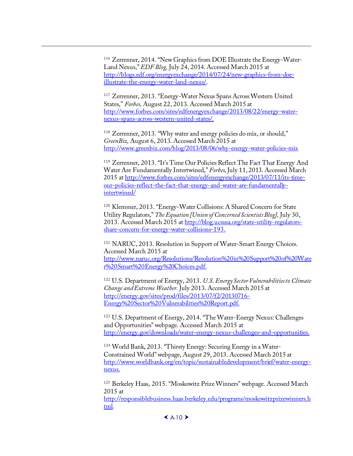<sup>116</sup> Zerrenner, 2014. "New Graphics from DOE Illustrate the Energy-Water-Land Nexus," *EDF Blog,* July 24, 2014. Accessed March 2015 at http://blogs.edf.org/energyexc[hange/2014/07/24/new-graphics-from-doe](http://blog.ucsusa.org/state-utility-regulators-share-concern-for-energy-water-collisions-193)[illustrate-the-energy-water-land-nexus/.](http://blog.ucsusa.org/state-utility-regulators-share-concern-for-energy-water-collisions-193) 

<span id="page-61-67"></span><span id="page-61-66"></span><span id="page-61-61"></span><span id="page-61-50"></span><span id="page-61-49"></span><span id="page-61-48"></span><span id="page-61-47"></span><span id="page-61-35"></span><span id="page-61-34"></span><span id="page-61-33"></span><span id="page-61-23"></span><span id="page-61-12"></span><span id="page-61-11"></span><span id="page-61-10"></span><span id="page-61-9"></span>j

<sup>117</sup> Zerrenner, 2013. "Energy-Water Nexus Spans Across Western United States," *Forbes,* August 22, 2013. Accessed March 2015 at [http://www.forbes.com/sites/edfenergyexchange/2013/08/22/energy-water](http://www.naruc.org/Resolutions/Resolution%20in%20Support%20of%20Water%20Smart%20Energy%20Choices.pdf)[nexus-spans-across-western-united-stat](http://www.naruc.org/Resolutions/Resolution%20in%20Support%20of%20Water%20Smart%20Energy%20Choices.pdf)es/.

<span id="page-61-24"></span><sup>118</sup> Zerrenner, 2013. "Why water and energy policies do mix, or should," *GreenBiz,* August 6, 2013. Accessed March 2015 at [http://www.greenbiz.com/blog/2013/08/06/why-energy-water-policies-mix](http://energy.gov/sites/prod/files/2013/07/f2/20130716-Energy%20Sector%20Vulnerabilities%20Report.pdf) 

<span id="page-61-68"></span><span id="page-61-51"></span><span id="page-61-36"></span><span id="page-61-25"></span><span id="page-61-13"></span><sup>119</sup> Zerrenner, 2013. "It['s Time Our Policies Reflect T](http://energy.gov/sites/prod/files/2013/07/f2/20130716-Energy%20Sector%20Vulnerabilities%20Report.pdf)he Fact That Energy And Water Are Fundamentally Intertwined," *Forbes,* July 11, 2013. Accessed March 2015 at http://www.forbes.com/sites/edfenergyexchange/2013/07/11/its-time[our-policies-reflect-the-fact-that-energy-and-water-are-fundamentally](http://energy.gov/downloads/water-energy-nexus-challenges-and-opportunities)intertwined/

<span id="page-61-69"></span><span id="page-61-52"></span><span id="page-61-38"></span><span id="page-61-37"></span><span id="page-61-26"></span><span id="page-61-15"></span><span id="page-61-14"></span><span id="page-61-0"></span><sup>120</sup> Klemmer, 2013. "Energy-Water Collisions: A Shared Concern for State Utility Regulators," *[The Equation \[Union of Concerned Scientists Blog\],](http://www.worldbank.org/en/topic/sustainabledevelopment/brief/water-energy-nexus)* July 30, [2013.](http://www.worldbank.org/en/topic/sustainabledevelopment/brief/water-energy-nexus) Accessed March 2015 at http://blog.ucsusa.org/state-utility-regulatorsshare-concern-for-energy-water-collisions-193.

<span id="page-61-70"></span><span id="page-61-55"></span><span id="page-61-54"></span><span id="page-61-53"></span><span id="page-61-40"></span><span id="page-61-39"></span><span id="page-61-27"></span><span id="page-61-16"></span><span id="page-61-2"></span><span id="page-61-1"></span><sup>121</sup> NARUC, 2013. Resolution in Support of Water-Smart Energy Choices. [Accessed March 2015 at](http://responsiblebusiness.haas.berkeley.edu/programs/moskowitzprizewinners.html)  [http](http://responsiblebusiness.haas.berkeley.edu/programs/moskowitzprizewinners.html)://www.naruc.org/Resolutions/Resolution%20in%20Support%20of%20Wate r%20Smart%20Energy%20Choices.pdf.

<span id="page-61-62"></span><span id="page-61-56"></span><span id="page-61-42"></span><span id="page-61-41"></span><span id="page-61-28"></span><span id="page-61-18"></span><span id="page-61-17"></span><span id="page-61-3"></span><sup>122</sup> U.S. Department of Energy, 2013. *U.S. Energy Sector Vulnerabilities to Climate Change and Extreme Weather.* July 2013. Accessed March 2015 at http://energy.gov/sites/prod/files/2013/07/f2/20130716- Energy%20Sector%20Vulnerabilities%20Report.pdf.

<span id="page-61-63"></span><span id="page-61-57"></span><span id="page-61-44"></span><span id="page-61-43"></span><span id="page-61-29"></span><span id="page-61-19"></span><span id="page-61-4"></span><sup>123</sup> U.S. Department of Energy, 2014. "The Water-Energy Nexus: Challenges and Opportunities" webpage. Accessed March 2015 at http://energy.gov/downloads/water-energy-nexus-challenges-and-opportunities.

<span id="page-61-64"></span><span id="page-61-58"></span><span id="page-61-45"></span><span id="page-61-30"></span><span id="page-61-20"></span><span id="page-61-5"></span><sup>124</sup> World Bank, 2013. "Thirsty Energy: Securing Energy in a Water-Constrained World" webpage, August 29, 2013. Accessed March 2015 at http://www.worldbank.org/en/topic/sustainabledevelopment/brief/water-energynexus.

<span id="page-61-65"></span><span id="page-61-60"></span><span id="page-61-59"></span><span id="page-61-46"></span><span id="page-61-32"></span><span id="page-61-31"></span><span id="page-61-22"></span><span id="page-61-21"></span><span id="page-61-8"></span><span id="page-61-7"></span><span id="page-61-6"></span><sup>125</sup> Berkeley Haas, 2015. "Moskowitz Prize Winners" webpage. Accessed March 2015 at http://responsiblebusiness.haas.berkeley.edu/programs/moskowitzprizewinners.h tml.